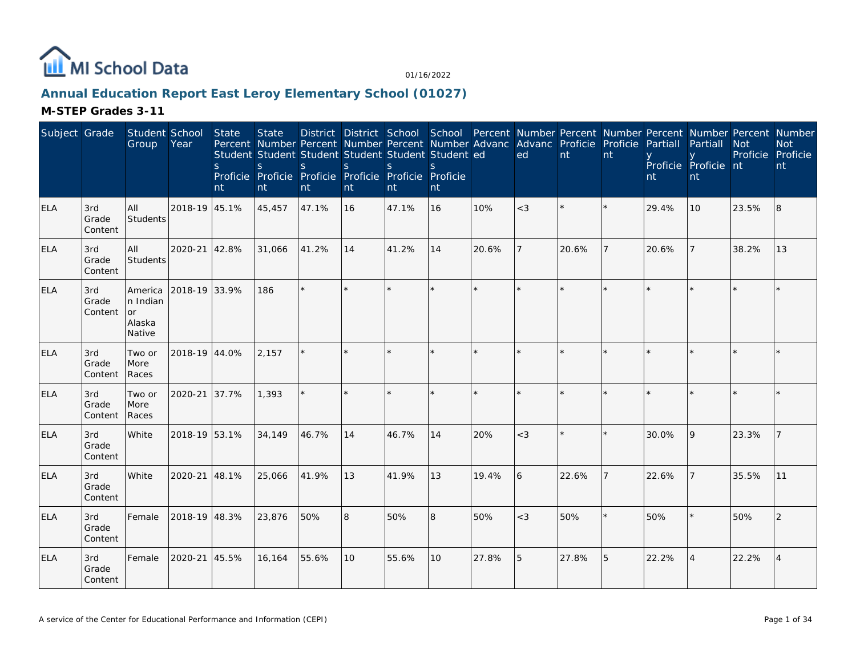

## **Annual Education Report East Leroy Elementary School (01027)**

| Subject Grade |                         | Student School<br>Group                       | Year          | <b>State</b><br><sub>S</sub><br>nt | <b>State</b><br>Percent Number Percent Number Percent Number Advanc Advanc Proficie Proficie<br>Student Student Student Student Student Student ed<br>S<br>Proficie Proficie Proficie Proficie Proficie Proficie<br>nt | S.<br>nt | S.<br>nt        | District District School School Percent Number Percent Number Percent Number Percent Number<br><sub>S</sub><br>nt | S.<br>nt |         | ed      | nt    | nt | Partiall<br>nt | Partiall<br>Proficie Proficie nt<br>nt | <b>Not</b><br>Proficie Proficie | <b>Not</b><br>nt |
|---------------|-------------------------|-----------------------------------------------|---------------|------------------------------------|------------------------------------------------------------------------------------------------------------------------------------------------------------------------------------------------------------------------|----------|-----------------|-------------------------------------------------------------------------------------------------------------------|----------|---------|---------|-------|----|----------------|----------------------------------------|---------------------------------|------------------|
| <b>ELA</b>    | 3rd<br>Grade<br>Content | All<br><b>Students</b>                        | 2018-19 45.1% |                                    | 45,457                                                                                                                                                                                                                 | 47.1%    | 16              | 47.1%                                                                                                             | 16       | 10%     | $<$ 3   |       |    | 29.4%          | 10                                     | 23.5%                           | 8                |
| <b>ELA</b>    | 3rd<br>Grade<br>Content | All<br>Students                               | 2020-21 42.8% |                                    | 31,066                                                                                                                                                                                                                 | 41.2%    | 14              | 41.2%                                                                                                             | 14       | 20.6%   |         | 20.6% |    | 20.6%          |                                        | 38.2%                           | 13               |
| <b>ELA</b>    | 3rd<br>Grade<br>Content | America<br>n Indian<br>or<br>Alaska<br>Native | 2018-19 33.9% |                                    | 186                                                                                                                                                                                                                    | $\star$  |                 |                                                                                                                   | $\star$  | $\star$ | $\star$ |       |    |                |                                        |                                 |                  |
| <b>ELA</b>    | 3rd<br>Grade<br>Content | Two or<br>More<br>Races                       | 2018-19 44.0% |                                    | 2,157                                                                                                                                                                                                                  | $\star$  |                 |                                                                                                                   | $\star$  | $\star$ | $\star$ |       |    |                |                                        |                                 |                  |
| <b>ELA</b>    | 3rd<br>Grade<br>Content | Two or<br>More<br>Races                       | 2020-21 37.7% |                                    | 1,393                                                                                                                                                                                                                  | $\star$  |                 |                                                                                                                   | ×.       | $\star$ | $\star$ |       |    |                |                                        |                                 |                  |
| <b>ELA</b>    | 3rd<br>Grade<br>Content | White                                         | 2018-19 53.1% |                                    | 34,149                                                                                                                                                                                                                 | 46.7%    | 14              | 46.7%                                                                                                             | 14       | 20%     | $<$ 3   |       |    | 30.0%          | 9                                      | 23.3%                           |                  |
| ELA           | 3rd<br>Grade<br>Content | <b>White</b>                                  | 2020-21 48.1% |                                    | 25,066                                                                                                                                                                                                                 | 41.9%    | 13              | 41.9%                                                                                                             | 13       | 19.4%   | 6       | 22.6% |    | 22.6%          |                                        | 35.5%                           | 11               |
| <b>ELA</b>    | 3rd<br>Grade<br>Content | Female                                        | 2018-19 48.3% |                                    | 23,876                                                                                                                                                                                                                 | 50%      | 8               | 50%                                                                                                               | 8        | 50%     | $<$ 3   | 50%   |    | 50%            |                                        | 50%                             | 2                |
| <b>ELA</b>    | 3rd<br>Grade<br>Content | Female                                        | 2020-21 45.5% |                                    | 16,164                                                                                                                                                                                                                 | 55.6%    | 10 <sup>°</sup> | 55.6%                                                                                                             | 10       | 27.8%   | 5       | 27.8% | 5  | 22.2%          | $\Delta$                               | 22.2%                           | $\overline{4}$   |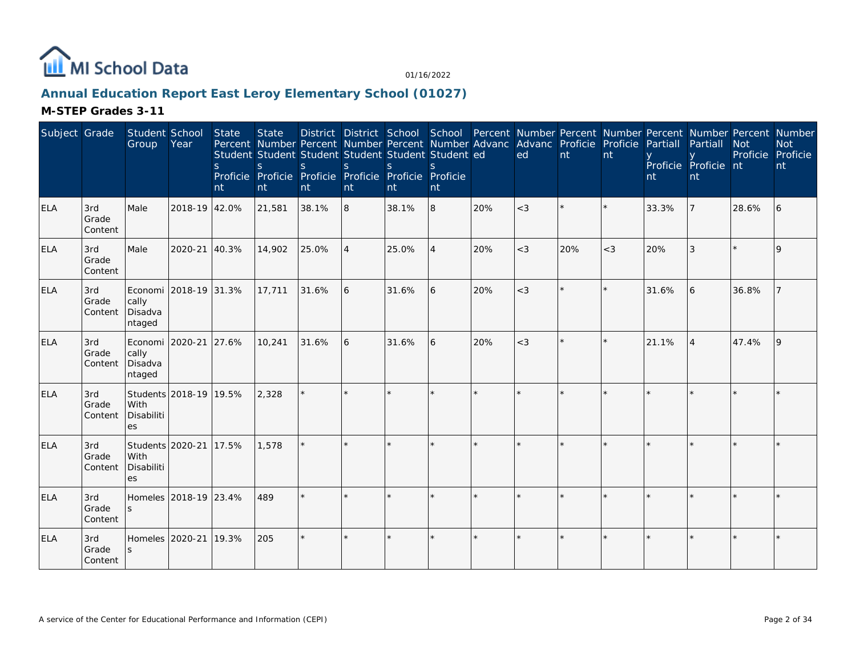

## **Annual Education Report East Leroy Elementary School (01027)**

| Subject Grade |                         | Student School<br>Group                      | Year                   | <b>State</b><br><sub>S</sub><br>nt | <b>State</b><br>S<br>nt | Percent Number Percent Number Percent Number Advanc Advanc Proficie Proficie<br>Student Student Student Student Student Student ed<br>S<br>Proficie Proficie Proficie Proficie Proficie Proficie<br>nt | <sub>S</sub><br>nt | <sub>S</sub><br>nt | S.<br>nt |         | ed      | nt  | nt    | Partiall<br>nt | District District School School Percent Number Percent Number Percent Number Percent Number<br>Partiall<br>Proficie Proficie nt<br>nt | <b>Not</b><br>Proficie | <b>Not</b><br>Proficie<br>nt |
|---------------|-------------------------|----------------------------------------------|------------------------|------------------------------------|-------------------------|--------------------------------------------------------------------------------------------------------------------------------------------------------------------------------------------------------|--------------------|--------------------|----------|---------|---------|-----|-------|----------------|---------------------------------------------------------------------------------------------------------------------------------------|------------------------|------------------------------|
| <b>ELA</b>    | 3rd<br>Grade<br>Content | Male                                         | 2018-19 42.0%          |                                    | 21,581                  | 38.1%                                                                                                                                                                                                  | 8                  | 38.1%              | 8        | 20%     | $<$ 3   |     |       | 33.3%          |                                                                                                                                       | 28.6%                  | 6                            |
| ELA           | 3rd<br>Grade<br>Content | Male                                         | 2020-21 40.3%          |                                    | 14,902                  | 25.0%                                                                                                                                                                                                  |                    | 25.0%              | 4        | 20%     | $<$ 3   | 20% | $<$ 3 | 20%            | 3                                                                                                                                     |                        | 9                            |
| <b>ELA</b>    | 3rd<br>Grade<br>Content | cally<br>Disadva<br>ntaged                   | Economi 2018-19 31.3%  |                                    | 17,711                  | 31.6%                                                                                                                                                                                                  | 16                 | 31.6%              | 6        | 20%     | $<$ 3   |     |       | 31.6%          | 6                                                                                                                                     | 36.8%                  |                              |
| <b>ELA</b>    | 3rd<br>Grade<br>Content | cally<br>Disadva<br>ntaged                   | Economi 2020-21 27.6%  |                                    | 10,241                  | 31.6%                                                                                                                                                                                                  | 16                 | 31.6%              | 6        | 20%     | $<$ 3   |     |       | 21.1%          | $\overline{4}$                                                                                                                        | 47.4%                  | 9                            |
| <b>ELA</b>    | 3rd<br>Grade<br>Content | With<br>Disabiliti<br>es                     | Students 2018-19 19.5% |                                    | 2,328                   |                                                                                                                                                                                                        |                    |                    |          |         |         |     |       |                |                                                                                                                                       |                        |                              |
| <b>ELA</b>    | 3rd<br>Grade<br>Content | Students 2020-21<br>With<br>Disabiliti<br>es |                        | 17.5%                              | 1,578                   |                                                                                                                                                                                                        |                    |                    |          |         |         |     |       |                |                                                                                                                                       |                        |                              |
| <b>ELA</b>    | 3rd<br>Grade<br>Content |                                              | Homeles 2018-19 23.4%  |                                    | 489                     |                                                                                                                                                                                                        |                    |                    |          |         |         |     |       |                |                                                                                                                                       |                        |                              |
| <b>ELA</b>    | 3rd<br>Grade<br>Content | Homeles 2020-21                              |                        | 19.3%                              | 205                     | $\star$                                                                                                                                                                                                |                    |                    | $\star$  | $\star$ | $\star$ |     |       |                |                                                                                                                                       |                        |                              |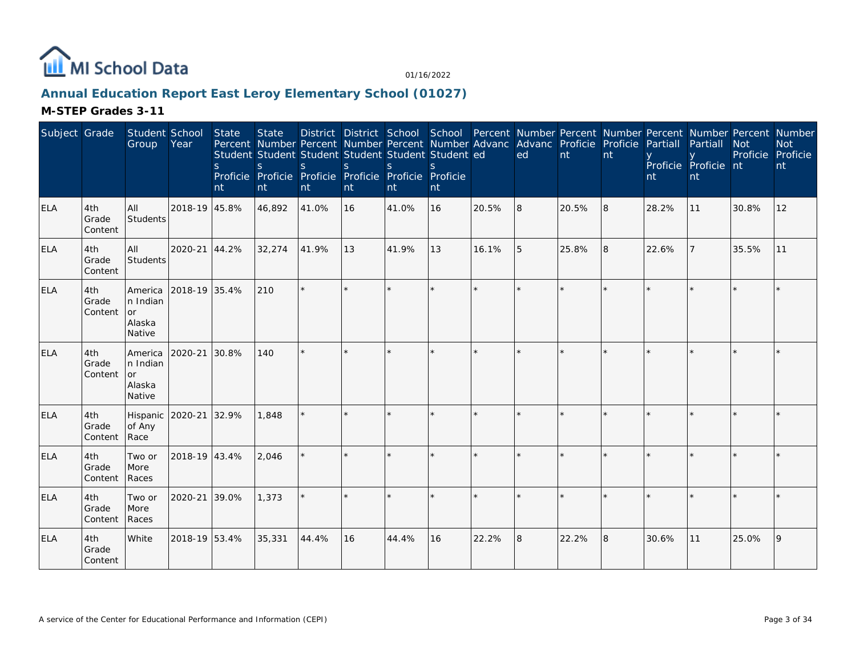

## **Annual Education Report East Leroy Elementary School (01027)**

| Subject Grade |                         | Student School<br>Group                                     | Year          | <b>State</b><br><sub>S</sub><br>nt | <b>State</b><br>S<br>nt | Percent Number Percent Number Percent Number Advanc Advanc Proficie Proficie<br>Student Student Student Student Student Student ed<br>$\mathsf{S}$<br>Proficie Proficie Proficie Proficie Proficie Proficie<br>nt | <sub>S</sub><br>nt | $\mathsf{S}$<br>nt | $\mathbf{S}$<br>nt |         | ed      | nt    | nt | Partiall<br>nt | District District School School Percent Number Percent Number Percent Number Percent Number<br>Partiall<br>Proficie Proficie nt<br>nt | <b>Not</b><br>Proficie | <b>Not</b><br>Proficie<br>nt |
|---------------|-------------------------|-------------------------------------------------------------|---------------|------------------------------------|-------------------------|-------------------------------------------------------------------------------------------------------------------------------------------------------------------------------------------------------------------|--------------------|--------------------|--------------------|---------|---------|-------|----|----------------|---------------------------------------------------------------------------------------------------------------------------------------|------------------------|------------------------------|
| ELA           | 4th<br>Grade<br>Content | All<br>Students                                             | 2018-19 45.8% |                                    | 46,892                  | 41.0%                                                                                                                                                                                                             | <b>16</b>          | 41.0%              | 16                 | 20.5%   | 8       | 20.5% | 8  | 28.2%          | 11                                                                                                                                    | 30.8%                  | 12                           |
| ELA           | 4th<br>Grade<br>Content | All<br>Students                                             | 2020-21 44.2% |                                    | 32,274                  | 41.9%                                                                                                                                                                                                             | 13                 | 41.9%              | 13                 | 16.1%   | 5       | 25.8% | 8  | 22.6%          |                                                                                                                                       | 35.5%                  | 11                           |
| <b>ELA</b>    | 4th<br>Grade<br>Content | <b>America</b><br>n Indian<br><b>or</b><br>Alaska<br>Native | 2018-19 35.4% |                                    | 210                     | $\star$                                                                                                                                                                                                           |                    | $\star$            | $\star$            | $\star$ | $\star$ |       |    |                |                                                                                                                                       |                        |                              |
| <b>ELA</b>    | 4th<br>Grade<br>Content | <b>America</b><br>n Indian<br>l or<br>Alaska<br>Native      | 2020-21       | 30.8%                              | 140                     | $\star$                                                                                                                                                                                                           |                    |                    | ×.                 |         | $\star$ |       |    |                |                                                                                                                                       |                        |                              |
| <b>ELA</b>    | 4th<br>Grade<br>Content | Hispanic<br>of Any<br>Race                                  | 2020-21 32.9% |                                    | 1,848                   |                                                                                                                                                                                                                   |                    |                    |                    |         |         |       |    |                |                                                                                                                                       |                        |                              |
| <b>ELA</b>    | 4th<br>Grade<br>Content | Two or<br>More<br>Races                                     | 2018-19 43.4% |                                    | 2,046                   |                                                                                                                                                                                                                   |                    |                    | $\star$            |         |         |       |    |                |                                                                                                                                       |                        |                              |
| ELA           | 4th<br>Grade<br>Content | Two or<br>More<br>Races                                     | 2020-21 39.0% |                                    | 1,373                   | $\star$                                                                                                                                                                                                           |                    |                    | ×.                 |         | $\star$ |       |    |                |                                                                                                                                       |                        |                              |
| <b>ELA</b>    | 4th<br>Grade<br>Content | White                                                       | 2018-19 53.4% |                                    | 35,331                  | 44.4%                                                                                                                                                                                                             | 16                 | 44.4%              | 16                 | 22.2%   | 8       | 22.2% | 8  | 30.6%          | 11                                                                                                                                    | 25.0%                  | 9                            |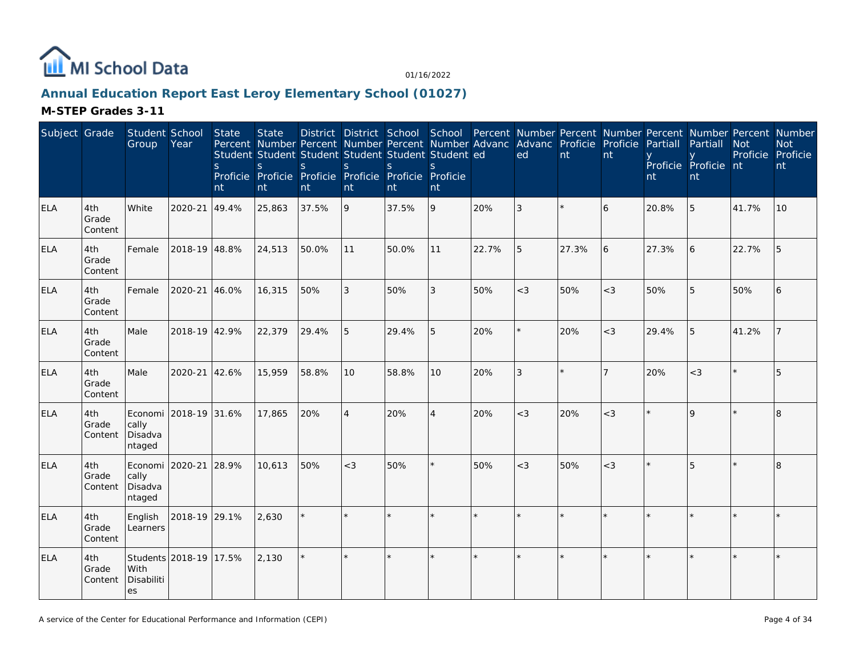

## **Annual Education Report East Leroy Elementary School (01027)**

| Subject Grade |                         | Student School<br>Group                 | Year                   | State<br>S.<br>nt | <b>State</b><br><sub>S</sub><br>nt | Percent Number Percent Number Percent Number Advanc<br>Student Student Student Student Student Student ed<br><sub>S</sub><br>Proficie Proficie Proficie Proficie Proficie Proficie<br>nt | <sub>S</sub><br>nt | <sub>S</sub><br>nt | S.<br>nt       |       | Advanc Proficie Proficie<br>ed | nt    | nt    | Partiall<br>nt | District District School School Percent Number Percent Number Percent Number Percent Number<br>Partiall<br>Proficie Proficie nt<br>nt | <b>Not</b><br>Proficie Proficie | <b>Not</b><br>nt |
|---------------|-------------------------|-----------------------------------------|------------------------|-------------------|------------------------------------|------------------------------------------------------------------------------------------------------------------------------------------------------------------------------------------|--------------------|--------------------|----------------|-------|--------------------------------|-------|-------|----------------|---------------------------------------------------------------------------------------------------------------------------------------|---------------------------------|------------------|
| <b>ELA</b>    | 4th<br>Grade<br>Content | White                                   | 2020-21                | 49.4%             | 25,863                             | 37.5%                                                                                                                                                                                    | 9                  | 37.5%              | 9              | 20%   | 3                              |       | 6     | 20.8%          | 5                                                                                                                                     | 41.7%                           | 10               |
| ELA           | 4th<br>Grade<br>Content | Female                                  | 2018-19 48.8%          |                   | 24,513                             | 50.0%                                                                                                                                                                                    | 11                 | 50.0%              | 11             | 22.7% | 5                              | 27.3% | 6     | 27.3%          | 6                                                                                                                                     | 22.7%                           | 5                |
| <b>ELA</b>    | 4th<br>Grade<br>Content | Female                                  | 2020-21                | 46.0%             | 16,315                             | 50%                                                                                                                                                                                      | 3                  | 50%                | 3              | 50%   | $<$ 3                          | 50%   | $<$ 3 | 50%            | 5                                                                                                                                     | 50%                             | 6                |
| <b>ELA</b>    | 4th<br>Grade<br>Content | Male                                    | 2018-19 42.9%          |                   | 22,379                             | 29.4%                                                                                                                                                                                    | 5                  | 29.4%              | 5              | 20%   | $\star$                        | 20%   | $<$ 3 | 29.4%          | 5                                                                                                                                     | 41.2%                           | $\overline{7}$   |
| ELA           | 4th<br>Grade<br>Content | Male                                    | 2020-21                | 42.6%             | 15,959                             | 58.8%                                                                                                                                                                                    | 10                 | 58.8%              | 10             | 20%   | 3                              |       |       | 20%            | $<$ 3                                                                                                                                 |                                 | 5                |
| ELA           | 4th<br>Grade<br>Content | cally<br>Disadva<br>ntaged              | Economi 2018-19 31.6%  |                   | 17,865                             | 20%                                                                                                                                                                                      | $\overline{4}$     | 20%                | $\overline{4}$ | 20%   | $<$ 3                          | 20%   | $<$ 3 |                | $\Omega$                                                                                                                              |                                 | 8                |
| <b>ELA</b>    | 4th<br>Grade<br>Content | Economi  <br>cally<br>Disadva<br>ntaged | 2020-21                | 28.9%             | 10.613                             | 50%                                                                                                                                                                                      | $<$ 3              | 50%                | ×.             | 50%   | $<$ 3                          | 50%   | $<$ 3 |                | 5                                                                                                                                     |                                 | 8                |
| <b>ELA</b>    | 4th<br>Grade<br>Content | English<br>Learners                     | 2018-19 29.1%          |                   | 2,630                              |                                                                                                                                                                                          |                    |                    | $\star$        |       | $\star$                        |       |       |                |                                                                                                                                       |                                 | $\star$          |
| <b>ELA</b>    | 4th<br>Grade<br>Content | With<br>Disabiliti<br>es                | Students 2018-19 17.5% |                   | 2,130                              | $\star$                                                                                                                                                                                  | $\star$            |                    | $\star$        |       |                                |       |       |                |                                                                                                                                       |                                 |                  |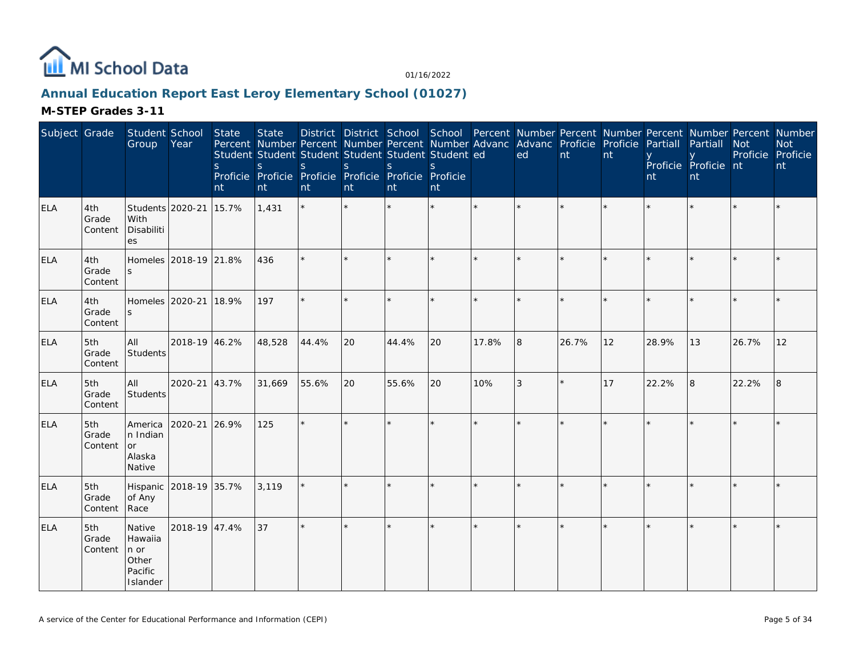

## **Annual Education Report East Leroy Elementary School (01027)**

| Subject Grade |                         | Student School<br>Group                                   | Year          | <b>State</b><br><sub>S</sub><br>nt | <b>State</b><br>Student Student Student Student Student Student ed<br>S<br>Proficie Proficie Proficie Proficie Proficie Proficie<br>nt | S.<br>nt | S<br>nt | <sub>S</sub><br>nt | <sub>S</sub><br>nt |         | District District School School Percent Number Percent Number Percent Number Percent Number<br>Percent Number Percent Number Percent Number Advanc Advanc Proficie Proficie<br>ed | $\overline{nt}$ | nt | Partiall<br>nt | Partiall<br>Proficie Proficie nt<br>nt | <b>Not</b><br>Proficie Proficie | <b>Not</b><br>nt |
|---------------|-------------------------|-----------------------------------------------------------|---------------|------------------------------------|----------------------------------------------------------------------------------------------------------------------------------------|----------|---------|--------------------|--------------------|---------|-----------------------------------------------------------------------------------------------------------------------------------------------------------------------------------|-----------------|----|----------------|----------------------------------------|---------------------------------|------------------|
| <b>ELA</b>    | 4th<br>Grade<br>Content | Students 2020-21<br>With<br>Disabiliti<br><b>es</b>       |               | 15.7%                              | 1,431                                                                                                                                  | $\star$  |         |                    |                    |         |                                                                                                                                                                                   |                 |    |                |                                        |                                 |                  |
| <b>ELA</b>    | 4th<br>Grade<br>Content | Homeles 2018-19 21.8%                                     |               |                                    | 436                                                                                                                                    | $\star$  |         |                    | $\star$            |         | $\star$                                                                                                                                                                           |                 |    |                |                                        |                                 |                  |
| <b>ELA</b>    | 4th<br>Grade<br>Content | Homeles 2020-21                                           |               | 18.9%                              | 197                                                                                                                                    | $\star$  |         |                    | ×.                 | $\star$ | $\star$                                                                                                                                                                           |                 |    |                |                                        |                                 |                  |
| ELA           | 5th<br>Grade<br>Content | All<br>Students                                           | 2018-19 46.2% |                                    | 48,528                                                                                                                                 | 44.4%    | 20      | 44.4%              | 20                 | 17.8%   | 8                                                                                                                                                                                 | 26.7%           | 12 | 28.9%          | 13                                     | 26.7%                           | 12               |
| <b>ELA</b>    | 5th<br>Grade<br>Content | All<br>Students                                           | 2020-21 43.7% |                                    | 31,669                                                                                                                                 | 55.6%    | 20      | 55.6%              | 20                 | 10%     | 3                                                                                                                                                                                 |                 | 17 | 22.2%          | 8                                      | 22.2%                           | 8                |
| <b>ELA</b>    | 5th<br>Grade<br>Content | America<br>n Indian<br>or<br>Alaska<br>Native             | 2020-21 26.9% |                                    | 125                                                                                                                                    | $\star$  | $\star$ |                    | $\star$            | $\star$ | ×.                                                                                                                                                                                |                 |    |                |                                        |                                 |                  |
| <b>ELA</b>    | 5th<br>Grade<br>Content | Hispanic 2018-19 35.7%<br>of Any<br>Race                  |               |                                    | 3,119                                                                                                                                  | $\star$  |         |                    | $\star$            |         | $\star$                                                                                                                                                                           |                 |    |                |                                        |                                 | $\star$          |
| <b>ELA</b>    | 5th<br>Grade<br>Content | Native<br>Hawaiia<br>n or<br>Other<br>Pacific<br>Islander | 2018-19 47.4% |                                    | 37                                                                                                                                     | $\star$  |         |                    | $\star$            | $\star$ | $\star$                                                                                                                                                                           |                 |    |                |                                        |                                 |                  |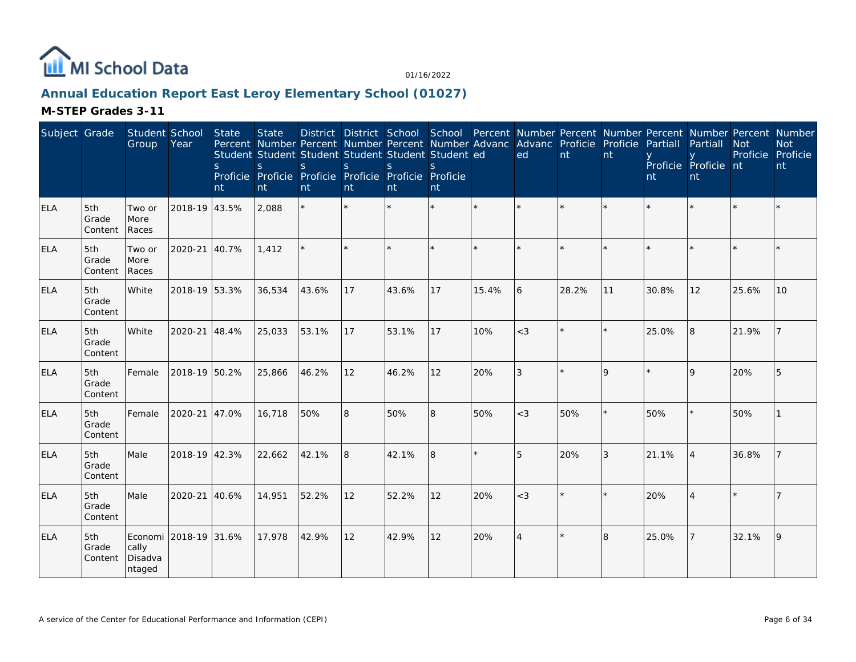

## **Annual Education Report East Leroy Elementary School (01027)**

| Subject Grade |                         | Student School<br>Group                             | Year          | <b>State</b><br>S<br>nt | <b>State</b><br>Student Student Student Student Student Student ed<br>S<br>Proficie Proficie Proficie Proficie Proficie Proficie<br>nt | S.<br>nt | <sub>S</sub><br>nt | <sub>S</sub><br>nt | <sub>S</sub><br>nt |         | District District School School Percent Number Percent Number Percent Number Percent Number<br>Percent Number Percent Number Percent Number Advanc Advanc Proficie Proficie<br>ed | nt      | nt          | Partiall<br>nt | Partiall<br>Proficie Proficie nt<br>nt | <b>Not</b><br>Proficie Proficie | <b>Not</b><br>nt |
|---------------|-------------------------|-----------------------------------------------------|---------------|-------------------------|----------------------------------------------------------------------------------------------------------------------------------------|----------|--------------------|--------------------|--------------------|---------|-----------------------------------------------------------------------------------------------------------------------------------------------------------------------------------|---------|-------------|----------------|----------------------------------------|---------------------------------|------------------|
| <b>ELA</b>    | 5th<br>Grade<br>Content | Two or<br>More<br>Races                             | 2018-19 43.5% |                         | 2,088                                                                                                                                  | $\star$  |                    |                    |                    | $\star$ | $\star$                                                                                                                                                                           |         | $\star$     |                |                                        |                                 |                  |
| <b>ELA</b>    | 5th<br>Grade<br>Content | Two or<br>More<br>Races                             | 2020-21 40.7% |                         | 1,412                                                                                                                                  |          |                    |                    |                    |         |                                                                                                                                                                                   |         |             |                |                                        |                                 |                  |
| ELA           | 5th<br>Grade<br>Content | White                                               | 2018-19 53.3% |                         | 36,534                                                                                                                                 | 43.6%    | 17                 | 43.6%              | 17                 | 15.4%   | 6                                                                                                                                                                                 | 28.2%   | 11          | 30.8%          | 12                                     | 25.6%                           | 10               |
| <b>ELA</b>    | 5th<br>Grade<br>Content | White                                               | 2020-21 48.4% |                         | 25,033                                                                                                                                 | 53.1%    | 17                 | 53.1%              | 17                 | 10%     | $<$ 3                                                                                                                                                                             |         |             | 25.0%          | 8                                      | 21.9%                           |                  |
| ELA           | 5th<br>Grade<br>Content | Female                                              | 2018-19 50.2% |                         | 25,866                                                                                                                                 | 46.2%    | 12                 | 46.2%              | 12                 | 20%     | 3                                                                                                                                                                                 |         | $\mathsf Q$ |                | $\mathsf{Q}$                           | 20%                             |                  |
| <b>ELA</b>    | 5th<br>Grade<br>Content | Female                                              | 2020-21 47.0% |                         | 16,718                                                                                                                                 | 50%      | 8                  | 50%                | 8                  | 50%     | $<$ 3                                                                                                                                                                             | 50%     |             | 50%            |                                        | 50%                             |                  |
| <b>ELA</b>    | 5th<br>Grade<br>Content | Male                                                | 2018-19 42.3% |                         | 22,662                                                                                                                                 | 42.1%    | 8                  | 42.1%              | 8                  | $\star$ | 5                                                                                                                                                                                 | 20%     | 3           | 21.1%          | $\vert$ 4                              | 36.8%                           |                  |
| <b>ELA</b>    | 5th<br>Grade<br>Content | Male                                                | 2020-21 40.6% |                         | 14,951                                                                                                                                 | 52.2%    | 12                 | 52.2%              | 12                 | 20%     | $<$ 3                                                                                                                                                                             |         |             | 20%            |                                        |                                 |                  |
| <b>ELA</b>    | 5th<br>Grade<br>Content | Economi 2018-19 31.6%<br>cally<br>Disadva<br>ntaged |               |                         | 17,978                                                                                                                                 | 42.9%    | 12                 | 42.9%              | 12                 | 20%     | $\overline{4}$                                                                                                                                                                    | $\star$ | 8           | 25.0%          |                                        | 32.1%                           | 9                |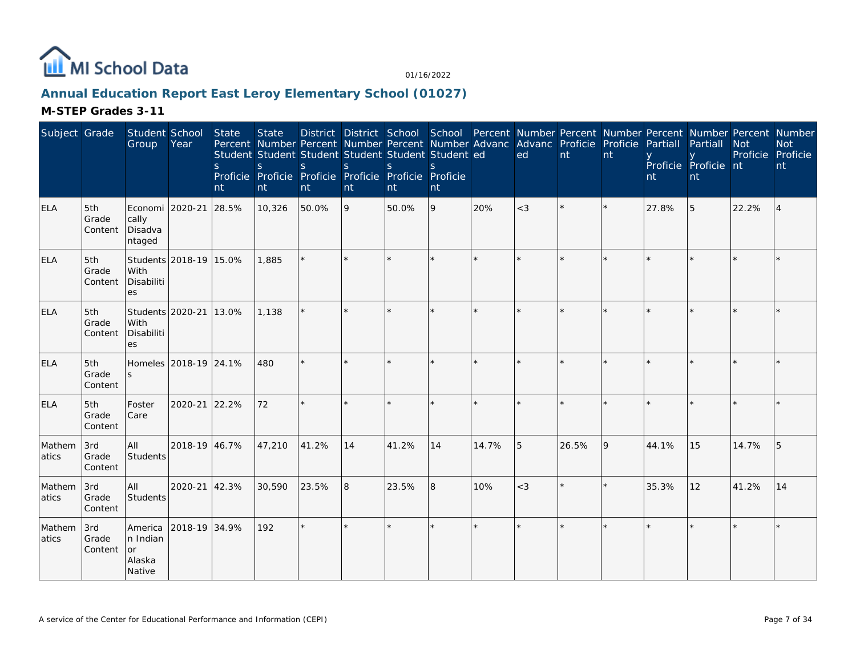

## **Annual Education Report East Leroy Elementary School (01027)**

| Subject Grade   |                         | Student School<br>Group                       | Year                   | <b>State</b><br><sub>S</sub><br>nt | <b>State</b><br>Percent Number Percent Number Percent Number Advanc Advanc Proficie Proficie<br>Student Student Student Student Student Student ed<br>S.<br>Proficie Proficie Proficie Proficie Proficie Proficie<br>nt | S.<br>nt | <sub>S</sub><br>nt | <sub>S</sub><br>nt | $\mathcal{S}$<br>nt |         | ed      | $\mathsf{nt}$ | nt | Partiall<br>nt | District District School School Percent Number Percent Number Percent Number Percent Number<br>Partiall<br>Proficie Proficie nt<br>nt | <b>Not</b><br>Proficie Proficie | <b>Not</b><br>nt |
|-----------------|-------------------------|-----------------------------------------------|------------------------|------------------------------------|-------------------------------------------------------------------------------------------------------------------------------------------------------------------------------------------------------------------------|----------|--------------------|--------------------|---------------------|---------|---------|---------------|----|----------------|---------------------------------------------------------------------------------------------------------------------------------------|---------------------------------|------------------|
| <b>ELA</b>      | 5th<br>Grade<br>Content | Economi 2020-21<br>cally<br>Disadva<br>ntaged |                        | 28.5%                              | 10,326                                                                                                                                                                                                                  | 50.0%    | 9                  | 50.0%              | 9                   | 20%     | $<$ 3   |               |    | 27.8%          | 5                                                                                                                                     | 22.2%                           | $\overline{4}$   |
| <b>ELA</b>      | 5th<br>Grade<br>Content | With<br>Disabiliti<br>es                      | Students 2018-19 15.0% |                                    | 1,885                                                                                                                                                                                                                   |          |                    |                    | $\star$             | $\star$ |         |               |    |                |                                                                                                                                       |                                 |                  |
| <b>ELA</b>      | 5th<br>Grade<br>Content | Students 2020-21<br>With<br>Disabiliti<br>es  |                        | 13.0%                              | 1,138                                                                                                                                                                                                                   | $\star$  |                    |                    | $\star$             | $\star$ | $\star$ |               |    |                |                                                                                                                                       |                                 |                  |
| <b>ELA</b>      | 5th<br>Grade<br>Content | Homeles 2018-19 24.1%                         |                        |                                    | 480                                                                                                                                                                                                                     | $\star$  |                    |                    |                     |         |         |               |    |                |                                                                                                                                       |                                 |                  |
| <b>ELA</b>      | 5th<br>Grade<br>Content | Foster<br>Care                                | 2020-21 22.2%          |                                    | 72                                                                                                                                                                                                                      | $\star$  |                    |                    | $\star$             |         |         |               |    |                |                                                                                                                                       |                                 |                  |
| Mathem<br>atics | 3rd<br>Grade<br>Content | All<br>Students                               | 2018-19 46.7%          |                                    | 47,210                                                                                                                                                                                                                  | 41.2%    | 14                 | 41.2%              | 14                  | 14.7%   | 5       | 26.5%         | Q  | 44.1%          | 15                                                                                                                                    | 14.7%                           | .5               |
| Mathem<br>atics | 3rd<br>Grade<br>Content | All<br>Students                               | 2020-21 42.3%          |                                    | 30,590                                                                                                                                                                                                                  | 23.5%    | 8                  | 23.5%              | 8                   | 10%     | $<$ 3   |               |    | 35.3%          | 12                                                                                                                                    | 41.2%                           | 14               |
| Mathem<br>atics | 3rd<br>Grade<br>Content | America<br>n Indian<br>or<br>Alaska<br>Native | 2018-19 34.9%          |                                    | 192                                                                                                                                                                                                                     | $\star$  |                    |                    | $\star$             | $\star$ | ×.      |               |    |                |                                                                                                                                       |                                 |                  |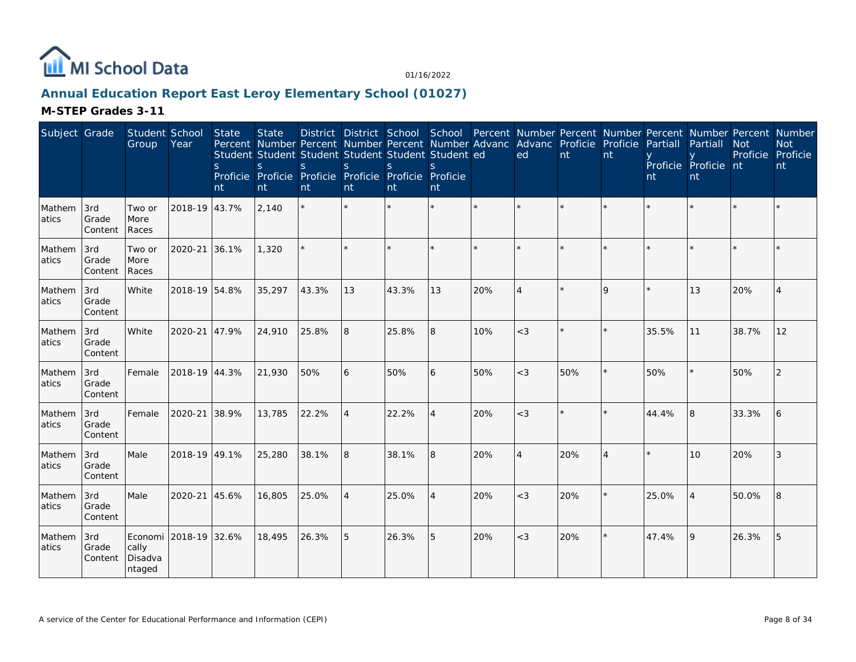

## **Annual Education Report East Leroy Elementary School (01027)**

| Subject Grade   |                         | Student School<br>Group    | Year                  | State<br>S<br>nt | <b>State</b><br><sub>S</sub><br>nt | <sub>S</sub><br>nt | <sub>S</sub><br>nt | District District School School Percent Number Percent Number Percent Number Percent Number<br>Percent Number Percent Number Percent Number Advanc Advanc Proficie Proficie<br>Student Student Student Student Student Student ed<br>S.<br>Proficie Proficie Proficie Proficie Proficie Proficie<br>nt | $\mathcal{S}_{\mathcal{S}}$<br>nt |     | ed                    | nt  | nt             | Partiall<br>nt | Partiall<br>Proficie Proficie nt<br>nt | <b>Not</b><br>Proficie | <b>Not</b><br>Proficie<br>nt |
|-----------------|-------------------------|----------------------------|-----------------------|------------------|------------------------------------|--------------------|--------------------|--------------------------------------------------------------------------------------------------------------------------------------------------------------------------------------------------------------------------------------------------------------------------------------------------------|-----------------------------------|-----|-----------------------|-----|----------------|----------------|----------------------------------------|------------------------|------------------------------|
| Mathem<br>atics | 3rd<br>Grade<br>Content | Two or<br>More<br>Races    | 2018-19 43.7%         |                  | 2,140                              |                    |                    |                                                                                                                                                                                                                                                                                                        | $\star$                           |     | $\star$               |     |                |                |                                        |                        |                              |
| Mathem<br>atics | 3rd<br>Grade<br>Content | Two or<br>More<br>Races    | 2020-21               | 36.1%            | 1,320                              |                    |                    |                                                                                                                                                                                                                                                                                                        | ×.                                |     |                       |     |                |                |                                        |                        |                              |
| Mathem<br>atics | 3rd<br>Grade<br>Content | White                      | 2018-19 54.8%         |                  | 35,297                             | 43.3%              | 13                 | 43.3%                                                                                                                                                                                                                                                                                                  | 13                                | 20% | $\boldsymbol{\Delta}$ |     | Q              |                | 13                                     | 20%                    |                              |
| Mathem<br>atics | 3rd<br>Grade<br>Content | White                      | 2020-21               | 47.9%            | 24,910                             | 25.8%              | 8                  | 25.8%                                                                                                                                                                                                                                                                                                  | 8                                 | 10% | $<$ 3                 |     |                | 35.5%          | 11                                     | 38.7%                  | 12                           |
| Mathem<br>atics | 3rd<br>Grade<br>Content | Female                     | 2018-19 44.3%         |                  | 21,930                             | 50%                | 6                  | 50%                                                                                                                                                                                                                                                                                                    | 6                                 | 50% | $<$ 3                 | 50% |                | 50%            |                                        | 50%                    | $\mathcal{P}$                |
| Mathem<br>atics | 3rd<br>Grade<br>Content | Female                     | 2020-21               | 38.9%            | 13,785                             | 22.2%              | $\overline{A}$     | 22.2%                                                                                                                                                                                                                                                                                                  | 4                                 | 20% | $<$ 3                 |     |                | 44.4%          | R.                                     | 33.3%                  | 6                            |
| Mathem<br>atics | 3rd<br>Grade<br>Content | Male                       | 2018-19 49.1%         |                  | 25,280                             | 38.1%              | 8                  | 38.1%                                                                                                                                                                                                                                                                                                  | 8                                 | 20% | $\overline{4}$        | 20% | $\overline{4}$ |                | 10 <sup>1</sup>                        | 20%                    | 3                            |
| Mathem<br>atics | 3rd<br>Grade<br>Content | Male                       | 2020-21               | 45.6%            | 16,805                             | 25.0%              | $\overline{4}$     | 25.0%                                                                                                                                                                                                                                                                                                  | $\overline{4}$                    | 20% | $<$ 3                 | 20% |                | 25.0%          | $\boldsymbol{\vartriangle}$            | 50.0%                  | 8                            |
| Mathem<br>atics | 3rd<br>Grade<br>Content | cally<br>Disadva<br>ntaged | Economi 2018-19 32.6% |                  | 18,495                             | 26.3%              | 5                  | 26.3%                                                                                                                                                                                                                                                                                                  | 5                                 | 20% | $<$ 3                 | 20% | $\star$        | 47.4%          | 9                                      | 26.3%                  | 5                            |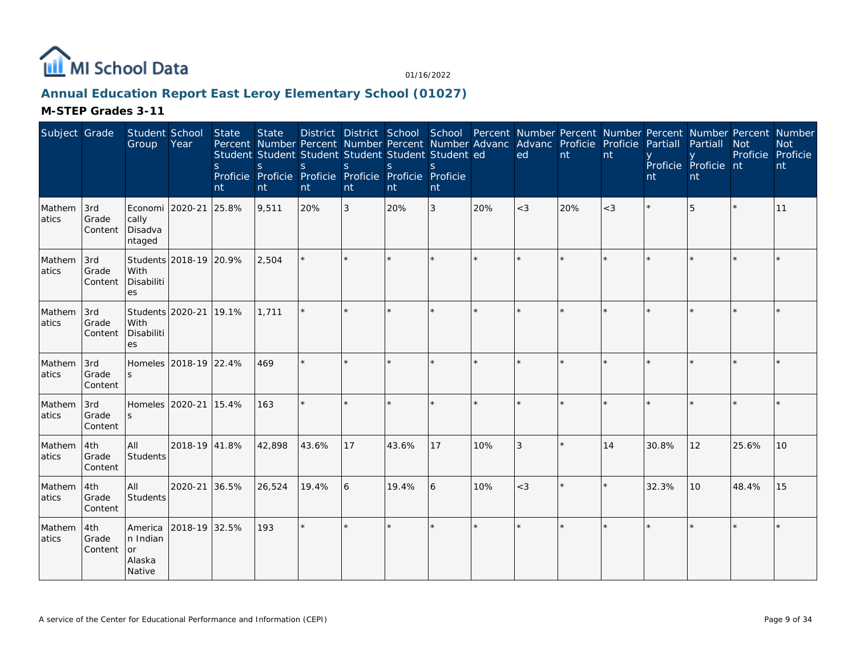

## **Annual Education Report East Leroy Elementary School (01027)**

| Subject Grade    |                         | Student School<br>Group                       | Year                   | State<br><sub>S</sub><br>nt | <b>State</b><br>S.<br>nt | Percent Number Percent Number Percent Number Advanc Advanc Proficie Proficie<br>Student Student Student Student Student Student ed<br>S.<br>Proficie Proficie Proficie Proficie Proficie Proficie<br>nt | <sub>S</sub><br>nt | S.<br>nt | S.<br>nt |     | District District School School Percent Number Percent Number Percent Number Percent Number<br>ed | nt  | nt    | Partiall<br>nt | Partiall<br>Proficie Proficie nt<br>nt | <b>Not</b><br>Proficie | <b>Not</b><br>Proficie<br>nt |
|------------------|-------------------------|-----------------------------------------------|------------------------|-----------------------------|--------------------------|---------------------------------------------------------------------------------------------------------------------------------------------------------------------------------------------------------|--------------------|----------|----------|-----|---------------------------------------------------------------------------------------------------|-----|-------|----------------|----------------------------------------|------------------------|------------------------------|
| Mathem<br>atics  | 3rd<br>Grade<br>Content | Economi 2020-21<br>cally<br>Disadva<br>ntaged |                        | 25.8%                       | 9,511                    | 20%                                                                                                                                                                                                     | $\sqrt{3}$         | 20%      | 3        | 20% | $<$ 3                                                                                             | 20% | $<$ 3 |                | 5                                      |                        | 11                           |
| Mathem<br>atics  | 3rd<br>Grade<br>Content | With<br>Disabiliti<br>es                      | Students 2018-19 20.9% |                             | 2,504                    |                                                                                                                                                                                                         |                    |          | $\star$  |     | $\star$                                                                                           |     |       |                |                                        |                        |                              |
| Mathem<br>latics | 3rd<br>Grade<br>Content | Students 2020-21<br>With<br>Disabiliti<br>es  |                        | 19.1%                       | 1.711                    | $\star$                                                                                                                                                                                                 | $\star$            |          | $\star$  |     | $\star$                                                                                           |     | ×.    |                |                                        |                        |                              |
| Mathem<br>atics  | 3rd<br>Grade<br>Content | $\mathsf{S}$                                  | Homeles 2018-19 22.4%  |                             | 469                      | $\star$                                                                                                                                                                                                 |                    |          |          |     |                                                                                                   |     |       |                |                                        |                        |                              |
| Mathem<br>atics  | 3rd<br>Grade<br>Content | Homeles<br><sub>S</sub>                       | 2020-21                | 15.4%                       | 163                      |                                                                                                                                                                                                         |                    |          | $\star$  |     | $\star$                                                                                           |     |       |                |                                        |                        |                              |
| Mathem<br>atics  | 4th<br>Grade<br>Content | All<br>Students                               | 2018-19 41.8%          |                             | 42,898                   | 43.6%                                                                                                                                                                                                   | 17                 | 43.6%    | 17       | 10% | 3                                                                                                 |     | 14    | 30.8%          | 12                                     | 25.6%                  | 10                           |
| Mathem<br>atics  | 4th<br>Grade<br>Content | All<br>Students                               | 2020-21                | 36.5%                       | 26,524                   | 19.4%                                                                                                                                                                                                   | 6                  | 19.4%    | 6        | 10% | $<$ 3                                                                                             |     |       | 32.3%          | 10                                     | 48.4%                  | 15                           |
| Mathem<br>atics  | 4th<br>Grade<br>Content | America<br>n Indian<br>or<br>Alaska<br>Native | 2018-19 32.5%          |                             | 193                      | ÷.                                                                                                                                                                                                      | ×.                 |          | $\star$  |     | ×                                                                                                 |     |       |                |                                        |                        |                              |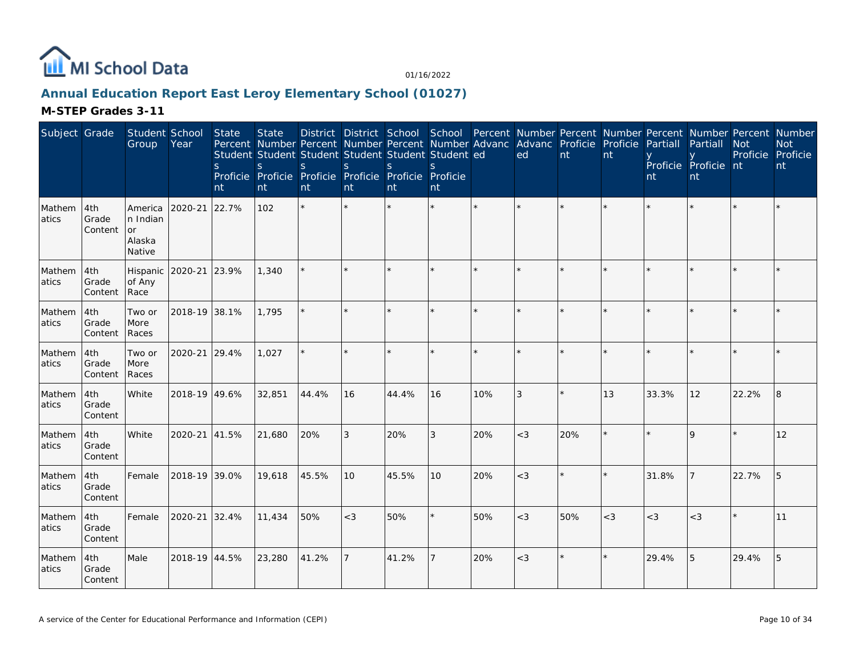

## **Annual Education Report East Leroy Elementary School (01027)**

| Subject Grade   |                         | Student School<br>Group                       | Year          | State<br><sub>S</sub><br>nt | <b>State</b><br>Percent Number Percent Number Percent Number Advanc<br>Student Student Student Student Student Student ed<br>S<br>Proficie Proficie Proficie Proficie Proficie Proficie<br>nt | <sub>S</sub><br>nt | S<br>nt | <sub>S</sub><br>nt | <sub>S</sub><br>nt |     | District District School School Percent Number Percent Number Percent Number Percent Number<br>Advanc Proficie Proficie<br>ed | nt  | nt      | Partiall<br>nt | Partiall<br>Proficie Proficie nt<br>nt | <b>Not</b> | <b>Not</b><br>Proficie Proficie<br>nt |
|-----------------|-------------------------|-----------------------------------------------|---------------|-----------------------------|-----------------------------------------------------------------------------------------------------------------------------------------------------------------------------------------------|--------------------|---------|--------------------|--------------------|-----|-------------------------------------------------------------------------------------------------------------------------------|-----|---------|----------------|----------------------------------------|------------|---------------------------------------|
| Mathem<br>atics | 4th<br>Grade<br>Content | America<br>n Indian<br>or<br>Alaska<br>Native | 2020-21       | 22.7%                       | 102                                                                                                                                                                                           | $\star$            |         |                    |                    |     |                                                                                                                               |     |         |                |                                        |            |                                       |
| Mathem<br>atics | 4th<br>Grade<br>Content | Hispanic<br>of Any<br>Race                    | 2020-21 23.9% |                             | 1,340                                                                                                                                                                                         |                    |         |                    |                    |     |                                                                                                                               |     |         |                |                                        |            |                                       |
| Mathem<br>atics | 4th<br>Grade<br>Content | Two or<br>More<br>Races                       | 2018-19 38.1% |                             | 1.795                                                                                                                                                                                         |                    |         |                    |                    |     |                                                                                                                               |     |         |                |                                        |            |                                       |
| Mathem<br>atics | 4th<br>Grade<br>Content | Two or<br>More<br>Races                       | 2020-21 29.4% |                             | 1,027                                                                                                                                                                                         |                    |         |                    |                    |     |                                                                                                                               |     | $\star$ |                |                                        |            |                                       |
| Mathem<br>atics | 4th<br>Grade<br>Content | White                                         | 2018-19 49.6% |                             | 32,851                                                                                                                                                                                        | 44.4%              | 16      | 44.4%              | 16                 | 10% | 3                                                                                                                             |     | 13      | 33.3%          | 12                                     | 22.2%      | 8                                     |
| Mathem<br>atics | 4th<br>Grade<br>Content | White                                         | 2020-21       | 41.5%                       | 21,680                                                                                                                                                                                        | 20%                | 3       | 20%                | 3                  | 20% | $<$ 3                                                                                                                         | 20% |         |                | $\mathsf Q$                            |            | 12                                    |
| Mathem<br>atics | 4th<br>Grade<br>Content | Female                                        | 2018-19 39.0% |                             | 19,618                                                                                                                                                                                        | 45.5%              | 10      | 45.5%              | 10                 | 20% | $<$ 3                                                                                                                         |     | $\star$ | 31.8%          |                                        | 22.7%      | 5                                     |
| Mathem<br>atics | 4th<br>Grade<br>Content | Female                                        | 2020-21 32.4% |                             | 11,434                                                                                                                                                                                        | 50%                | $<$ 3   | 50%                |                    | 50% | $<$ 3                                                                                                                         | 50% | $<$ 3   | $<$ 3          | $<$ 3                                  |            | 11                                    |
| Mathem<br>atics | 4th<br>Grade<br>Content | Male                                          | 2018-19 44.5% |                             | 23,280                                                                                                                                                                                        | 41.2%              |         | 41.2%              |                    | 20% | $<$ 3                                                                                                                         |     |         | 29.4%          | 5                                      | 29.4%      | 5                                     |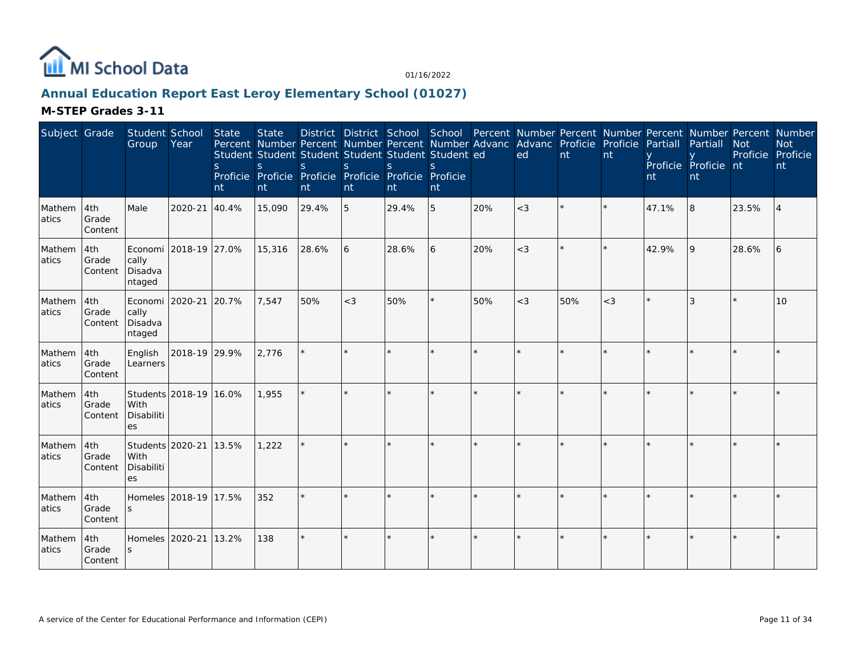

## **Annual Education Report East Leroy Elementary School (01027)**

| Subject Grade   |                         | Student School<br>Group                       | Year                   | State<br><sub>S</sub><br>nt | <b>State</b><br><sub>S</sub><br>nt | Student Student Student Student Student Student ed<br><sub>S</sub><br>Proficie Proficie Proficie Proficie Proficie Proficie<br>nt | $\mathbf S$<br>nt | <sub>S</sub><br>nt | S.<br>nt |     | District District School School Percent Number Percent Number Percent Number Percent Number<br>Percent Number Percent Number Percent Number Advanc Advanc Proficie Proficie<br>ed | nt      | nt      | Partiall<br>nt | Partiall<br>Proficie Proficie nt<br>nt | <b>Not</b> | <b>Not</b><br>Proficie Proficie<br>nt |
|-----------------|-------------------------|-----------------------------------------------|------------------------|-----------------------------|------------------------------------|-----------------------------------------------------------------------------------------------------------------------------------|-------------------|--------------------|----------|-----|-----------------------------------------------------------------------------------------------------------------------------------------------------------------------------------|---------|---------|----------------|----------------------------------------|------------|---------------------------------------|
| Mathem<br>atics | 4th<br>Grade<br>Content | Male                                          | 2020-21                | 40.4%                       | 15,090                             | 29.4%                                                                                                                             | 5                 | 29.4%              | 5        | 20% | $<$ 3                                                                                                                                                                             |         |         | 47.1%          | 8                                      | 23.5%      | 4                                     |
| Mathem<br>atics | 4th<br>Grade<br>Content | Economi<br>cally<br>Disadva<br>ntaged         | 2018-19 27.0%          |                             | 15,316                             | 28.6%                                                                                                                             | 6                 | 28.6%              | 6        | 20% | $<$ 3                                                                                                                                                                             |         |         | 42.9%          | 9                                      | 28.6%      | 6                                     |
| Mathem<br>atics | 4th<br>Grade<br>Content | Economi 2020-21<br>cally<br>Disadva<br>ntaged |                        | 20.7%                       | 7,547                              | 50%                                                                                                                               | $<$ 3             | 50%                |          | 50% | $<$ 3                                                                                                                                                                             | 50%     | $<$ 3   |                | 3                                      | k.         | 10                                    |
| Mathem<br>atics | 4th<br>Grade<br>Content | English<br>Learners                           | 2018-19 29.9%          |                             | 2,776                              |                                                                                                                                   |                   |                    |          |     |                                                                                                                                                                                   | $\star$ |         |                |                                        |            |                                       |
| Mathem<br>atics | 4th<br>Grade<br>Content | With<br>Disabiliti<br>es                      | Students 2018-19 16.0% |                             | 1,955                              |                                                                                                                                   |                   |                    |          |     |                                                                                                                                                                                   |         |         |                |                                        |            |                                       |
| Mathem<br>atics | 4th<br>Grade<br>Content | Students 2020-21<br>With<br>Disabiliti<br>es  |                        | 13.5%                       | 1,222                              |                                                                                                                                   |                   |                    |          |     |                                                                                                                                                                                   |         |         |                |                                        |            |                                       |
| Mathem<br>atics | 4th<br>Grade<br>Content | Homeles<br>S                                  | 2018-19 17.5%          |                             | 352                                |                                                                                                                                   |                   |                    |          |     |                                                                                                                                                                                   |         |         |                |                                        |            |                                       |
| Mathem<br>atics | 4th<br>Grade<br>Content | Homeles<br>S                                  | 2020-21                | 13.2%                       | 138                                | $\star$                                                                                                                           |                   |                    |          |     |                                                                                                                                                                                   | $\star$ | $\star$ |                |                                        |            |                                       |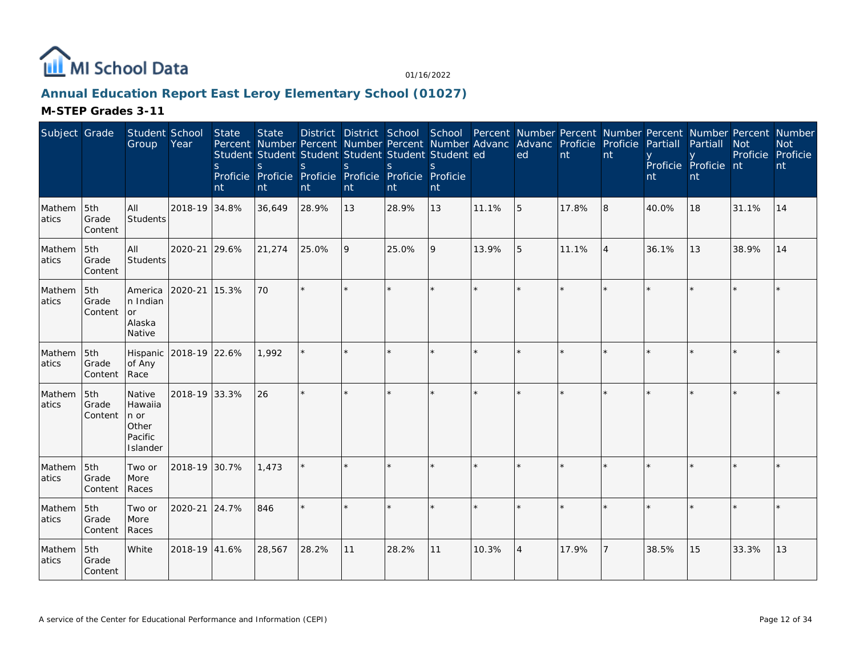

## **Annual Education Report East Leroy Elementary School (01027)**

| Subject Grade   |                         | Student School<br>Group                                   | Year          | State<br>S.<br>nt | <b>State</b><br>Percent Number Percent Number Percent Number Advanc Advanc Proficie Proficie<br>Student Student Student Student Student Student ed<br>S.<br>Proficie Proficie Proficie Proficie Proficie Proficie<br>nt | S.<br>nt | <sub>S</sub><br>nt | S<br>nt | District District School School Percent Number Percent Number Percent Number Percent Number<br>nt |       | ed             | nt    | nt             | Partiall<br>nt | Partiall<br>Proficie Proficie nt<br>nt | <b>Not</b><br>Proficie Proficie | <b>Not</b><br>nt |
|-----------------|-------------------------|-----------------------------------------------------------|---------------|-------------------|-------------------------------------------------------------------------------------------------------------------------------------------------------------------------------------------------------------------------|----------|--------------------|---------|---------------------------------------------------------------------------------------------------|-------|----------------|-------|----------------|----------------|----------------------------------------|---------------------------------|------------------|
| Mathem<br>atics | 5th<br>Grade<br>Content | All<br>Students                                           | 2018-19 34.8% |                   | 36,649                                                                                                                                                                                                                  | 28.9%    | 13                 | 28.9%   | 13                                                                                                | 11.1% | 5              | 17.8% | 8              | 40.0%          | 18                                     | 31.1%                           | 14               |
| Mathem<br>atics | 5th<br>Grade<br>Content | All<br>Students                                           | 2020-21 29.6% |                   | 21,274                                                                                                                                                                                                                  | 25.0%    | 9                  | 25.0%   | 9                                                                                                 | 13.9% | 5              | 11.1% | $\overline{4}$ | 36.1%          | 13                                     | 38.9%                           | 14               |
| Mathem<br>atics | 5th<br>Grade<br>Content | America<br>In Indian<br>or<br>Alaska<br>Native            | 2020-21 15.3% |                   | 70                                                                                                                                                                                                                      |          |                    |         |                                                                                                   |       |                |       |                |                |                                        |                                 |                  |
| Mathem<br>atics | 5th<br>Grade<br>Content | Hispanic<br>of Any<br>Race                                | 2018-19 22.6% |                   | 1,992                                                                                                                                                                                                                   |          |                    |         |                                                                                                   |       |                |       |                |                |                                        |                                 |                  |
| Mathem<br>atics | 5th<br>Grade<br>Content | Native<br>Hawaiia<br>n or<br>Other<br>Pacific<br>Islander | 2018-19 33.3% |                   | 26                                                                                                                                                                                                                      |          | $\star$            |         | ÷                                                                                                 |       |                |       |                |                |                                        |                                 |                  |
| Mathem<br>atics | 5th<br>Grade<br>Content | Two or<br>More<br>Races                                   | 2018-19 30.7% |                   | 1,473                                                                                                                                                                                                                   |          |                    |         |                                                                                                   |       |                |       |                |                |                                        |                                 |                  |
| Mathem<br>atics | 5th<br>Grade<br>Content | Two or<br>More<br>Races                                   | 2020-21 24.7% |                   | 846                                                                                                                                                                                                                     |          |                    |         |                                                                                                   |       |                |       |                |                |                                        |                                 |                  |
| Mathem<br>atics | 5th<br>Grade<br>Content | White                                                     | 2018-19 41.6% |                   | 28,567                                                                                                                                                                                                                  | 28.2%    | 11                 | 28.2%   | 11                                                                                                | 10.3% | $\overline{4}$ | 17.9% | 7              | 38.5%          | 15                                     | 33.3%                           | 13               |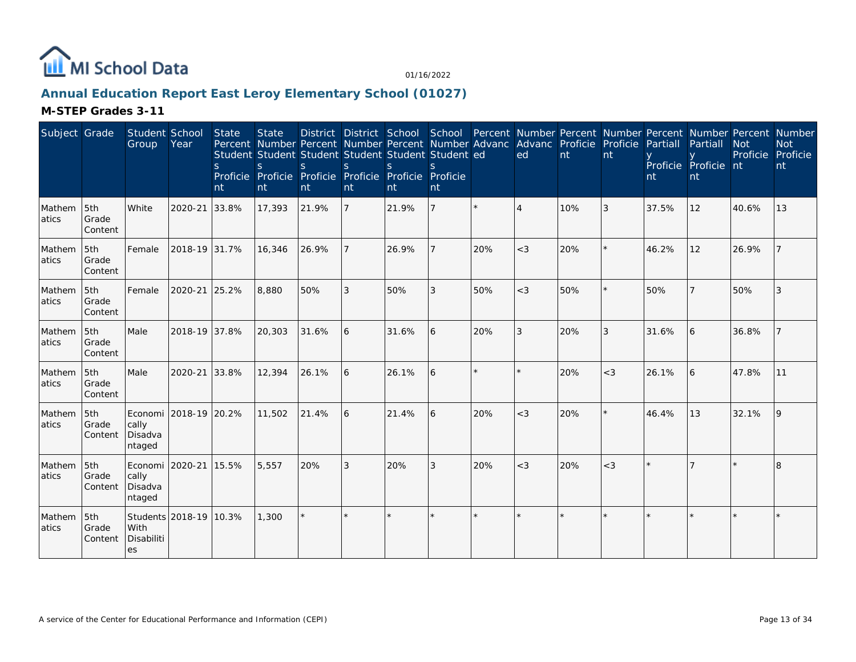

## **Annual Education Report East Leroy Elementary School (01027)**

| Subject Grade    |                         | Student School<br>Group               | Year                   | <b>State</b><br>S.<br>nt | <b>State</b><br>Percent Number Percent Number Percent Number Advanc Advanc Proficie Proficie<br>Student Student Student Student Student Student ed<br>S<br>Proficie Proficie<br>nt | <sub>S</sub><br>nt | S<br>nt        | $\mathbf S$<br>Proficie Proficie Proficie Proficie<br>nt | nt           |         | District District School School Percent Number Percent Number Percent Number Percent Number<br>ed | nt  | Int     | Partiall<br>nt | Partiall<br>Proficie Proficie nt<br>nt | <b>Not</b><br>Proficie Proficie | <b>Not</b><br>nt |
|------------------|-------------------------|---------------------------------------|------------------------|--------------------------|------------------------------------------------------------------------------------------------------------------------------------------------------------------------------------|--------------------|----------------|----------------------------------------------------------|--------------|---------|---------------------------------------------------------------------------------------------------|-----|---------|----------------|----------------------------------------|---------------------------------|------------------|
| Mathem<br>atics  | 5th<br>Grade<br>Content | White                                 | 2020-21                | 33.8%                    | 17,393                                                                                                                                                                             | 21.9%              | $\overline{7}$ | 21.9%                                                    |              | $\star$ | $\overline{4}$                                                                                    | 10% | 3       | 37.5%          | 12                                     | 40.6%                           | 13               |
| Mathem<br>latics | 5th<br>Grade<br>Content | Female                                | 2018-19 31.7%          |                          | 16,346                                                                                                                                                                             | 26.9%              |                | 26.9%                                                    |              | 20%     | $<$ 3                                                                                             | 20% |         | 46.2%          | 12                                     | 26.9%                           |                  |
| Mathem<br>latics | 5th<br>Grade<br>Content | Female                                | 2020-21 25.2%          |                          | 8,880                                                                                                                                                                              | 50%                | 3              | 50%                                                      | 3            | 50%     | $<$ 3                                                                                             | 50% | $\star$ | 50%            |                                        | 50%                             | 3                |
| Mathem<br>atics  | 5th<br>Grade<br>Content | Male                                  | 2018-19 37.8%          |                          | 20,303                                                                                                                                                                             | 31.6%              | 6              | 31.6%                                                    | l 6          | 20%     | 3                                                                                                 | 20% | 3       | 31.6%          | 6                                      | 36.8%                           |                  |
| Mathem<br>atics  | 5th<br>Grade<br>Content | Male                                  | 2020-21 33.8%          |                          | 12,394                                                                                                                                                                             | 26.1%              | 6              | 26.1%                                                    | <sup>6</sup> | $\star$ | $\star$                                                                                           | 20% | $<$ 3   | 26.1%          | 6                                      | 47.8%                           | 11               |
| Mathem<br>atics  | 5th<br>Grade<br>Content | Economi<br>cally<br>Disadva<br>ntaged | 2018-19 20.2%          |                          | 11,502                                                                                                                                                                             | 21.4%              | l 6            | 21.4%                                                    | 6            | 20%     | $<$ 3                                                                                             | 20% |         | 46.4%          | 13                                     | 32.1%                           | 19               |
| Mathem<br>atics  | 5th<br>Grade<br>Content | Economi<br>cally<br>Disadva<br>ntaged | 2020-21 15.5%          |                          | 5,557                                                                                                                                                                              | 20%                | 3              | 20%                                                      | 3            | 20%     | $<$ 3                                                                                             | 20% | $<$ 3   |                |                                        |                                 | <sub>R</sub>     |
| Mathem<br>atics  | 5th<br>Grade<br>Content | With<br>Disabiliti<br>es              | Students 2018-19 10.3% |                          | 1,300                                                                                                                                                                              |                    |                |                                                          | $\star$      |         |                                                                                                   |     |         |                |                                        |                                 |                  |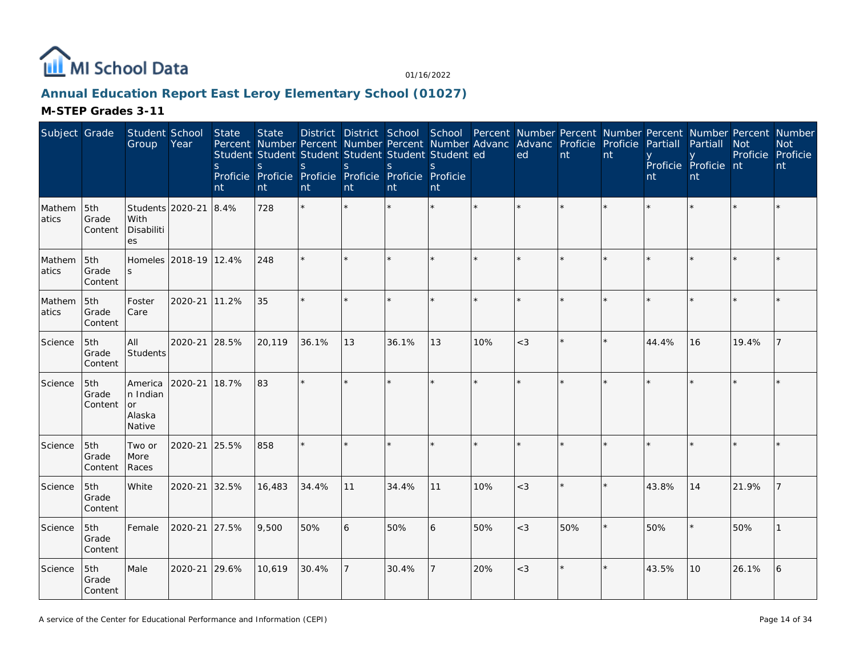

## **Annual Education Report East Leroy Elementary School (01027)**

| Subject Grade   |                         | Student School<br>Group                       | Year                  | State<br><sub>S</sub><br>nt | <b>State</b><br>S.<br>nt | District District School School Percent Number Percent Number Percent Number Percent Number<br>Percent Number Percent Number Percent Number Advanc Advanc Proficie Proficie<br>Student Student Student Student Student Student ed<br><sub>S</sub><br>Proficie Proficie Proficie Proficie Proficie Proficie<br>nt | $\mathsf S$<br>nt | S<br>Int | S<br>nt |         | ed      | nt      | nt | Partiall<br>nt | Partiall<br>Proficie Proficie nt<br>nt | Not<br>Proficie Proficie | <b>Not</b><br>nt |
|-----------------|-------------------------|-----------------------------------------------|-----------------------|-----------------------------|--------------------------|------------------------------------------------------------------------------------------------------------------------------------------------------------------------------------------------------------------------------------------------------------------------------------------------------------------|-------------------|----------|---------|---------|---------|---------|----|----------------|----------------------------------------|--------------------------|------------------|
| Mathem<br>atics | 5th<br>Grade<br>Content | Students 2020-21<br>With<br>Disabiliti<br>es  |                       | 8.4%                        | 728                      | $\star$                                                                                                                                                                                                                                                                                                          |                   |          | $\star$ | $\star$ | $\star$ |         |    |                |                                        |                          |                  |
| Mathem<br>atics | 5th<br>Grade<br>Content | S.                                            | Homeles 2018-19 12.4% |                             | 248                      |                                                                                                                                                                                                                                                                                                                  |                   |          | ×.      |         | $\star$ |         |    |                |                                        |                          |                  |
| Mathem<br>atics | 5th<br>Grade<br>Content | Foster<br>Care                                | 2020-21               | 11.2%                       | 35                       |                                                                                                                                                                                                                                                                                                                  | $\star$           |          | $\star$ | $\star$ | $\star$ |         |    |                |                                        |                          |                  |
| Science         | 5th<br>Grade<br>Content | All<br><b>Students</b>                        | 2020-21               | 28.5%                       | 20,119                   | 36.1%                                                                                                                                                                                                                                                                                                            | 13                | 36.1%    | 13      | 10%     | $<$ 3   | $\star$ |    | 44.4%          | 16                                     | 19.4%                    |                  |
| Science         | 5th<br>Grade<br>Content | America<br>n Indian<br>or<br>Alaska<br>Native | 2020-21               | 18.7%                       | 83                       | $\star$                                                                                                                                                                                                                                                                                                          | $\star$           |          | $\star$ | $\star$ | $\star$ | $\star$ |    |                |                                        |                          |                  |
| Science         | 5th<br>Grade<br>Content | Two or<br>More<br>Races                       | 2020-21               | 25.5%                       | 858                      | $\star$                                                                                                                                                                                                                                                                                                          |                   |          | ×.      |         | $\star$ |         |    |                |                                        |                          |                  |
| Science         | 5th<br>Grade<br>Content | White                                         | 2020-21               | 32.5%                       | 16,483                   | 34.4%                                                                                                                                                                                                                                                                                                            | 11                | 34.4%    | 11      | 10%     | $<$ 3   |         |    | 43.8%          | 14                                     | 21.9%                    |                  |
| Science         | 5th<br>Grade<br>Content | Female                                        | 2020-21               | 27.5%                       | 9,500                    | 50%                                                                                                                                                                                                                                                                                                              | 6                 | 50%      | 6       | 50%     | $<$ 3   | 50%     |    | 50%            |                                        | 50%                      |                  |
| Science         | 5th<br>Grade<br>Content | Male                                          | 2020-21               | 29.6%                       | 10,619                   | 30.4%                                                                                                                                                                                                                                                                                                            |                   | 30.4%    |         | 20%     | $<$ 3   |         |    | 43.5%          | 10                                     | 26.1%                    | 6                |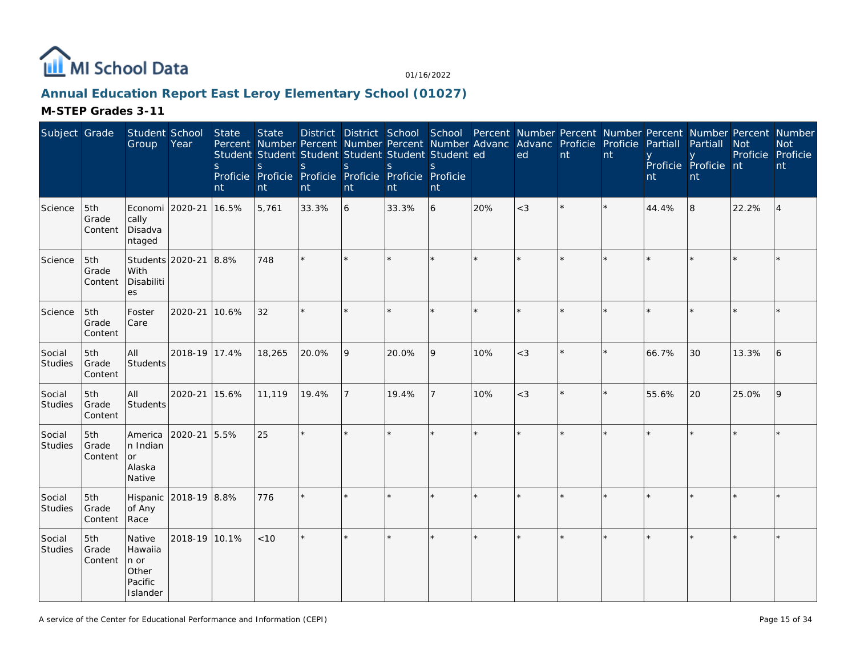

## **Annual Education Report East Leroy Elementary School (01027)**

| Subject Grade            |                         | Student School<br>Group                                   | Year                  | <b>State</b><br><sub>S</sub><br>nt | <b>State</b><br>Percent Number Percent Number Percent Number Advanc Advanc Proficie Proficie<br>Student Student Student Student Student Student ed<br>$\mathsf S$<br>Proficie Proficie Proficie Proficie Proficie Proficie<br>nt | <sub>S</sub><br>nt | $\mathsf{S}$<br>nt | $\mathsf S$<br>nt | S<br>nt |         | District District School School Percent Number Percent Number Percent Number Percent Number<br>ed | $\overline{nt}$ | nt | Partiall<br>nt | Partiall<br>Proficie Proficie nt<br>nt | <b>Not</b><br>Proficie Proficie | <b>Not</b><br>nt |
|--------------------------|-------------------------|-----------------------------------------------------------|-----------------------|------------------------------------|----------------------------------------------------------------------------------------------------------------------------------------------------------------------------------------------------------------------------------|--------------------|--------------------|-------------------|---------|---------|---------------------------------------------------------------------------------------------------|-----------------|----|----------------|----------------------------------------|---------------------------------|------------------|
| Science                  | 5th<br>Grade<br>Content | Economi 2020-21<br>cally<br>Disadva<br>ntaged             |                       | 16.5%                              | 5,761                                                                                                                                                                                                                            | 33.3%              | 6                  | 33.3%             | 6       | 20%     | $<$ 3                                                                                             |                 |    | 44.4%          | 8                                      | 22.2%                           | $\overline{4}$   |
| Science                  | 5th<br>Grade<br>Content | With<br>Disabiliti<br>es                                  | Students 2020-21 8.8% |                                    | 748                                                                                                                                                                                                                              | $\star$            |                    |                   | $\star$ |         | $\star$                                                                                           |                 |    |                |                                        |                                 |                  |
| Science                  | 5th<br>Grade<br>Content | Foster<br>Care                                            | 2020-21               | 10.6%                              | 32                                                                                                                                                                                                                               | ÷.                 |                    |                   | ×.      |         |                                                                                                   |                 |    |                |                                        |                                 |                  |
| Social<br>Studies        | 5th<br>Grade<br>Content | All<br>Students                                           | 2018-19 17.4%         |                                    | 18,265                                                                                                                                                                                                                           | 20.0%              | 9                  | 20.0%             | 9       | 10%     | $<$ 3                                                                                             |                 |    | 66.7%          | 30                                     | 13.3%                           | 16               |
| Social<br><b>Studies</b> | 5th<br>Grade<br>Content | All<br><b>Students</b>                                    | 2020-21               | 15.6%                              | 11,119                                                                                                                                                                                                                           | 19.4%              |                    | 19.4%             | 7       | 10%     | $<$ 3                                                                                             |                 |    | 55.6%          | 20                                     | 25.0%                           | 9                |
| Social<br>Studies        | 5th<br>Grade<br>Content | America<br>n Indian<br>or<br>Alaska<br>Native             | 2020-21 5.5%          |                                    | 25                                                                                                                                                                                                                               | $\star$            |                    |                   | $\star$ | $\star$ | $\star$                                                                                           |                 |    |                |                                        |                                 |                  |
| Social<br>Studies        | 5th<br>Grade<br>Content | Hispanic<br>of Any<br>Race                                | 2018-19 8.8%          |                                    | 776                                                                                                                                                                                                                              | $\star$            |                    |                   | $\star$ |         | $\star$                                                                                           |                 |    |                |                                        |                                 |                  |
| Social<br>Studies        | 5th<br>Grade<br>Content | Native<br>Hawaiia<br>n or<br>Other<br>Pacific<br>Islander | 2018-19 10.1%         |                                    | < 10                                                                                                                                                                                                                             | $\star$            |                    |                   | k.      |         |                                                                                                   |                 |    |                |                                        |                                 |                  |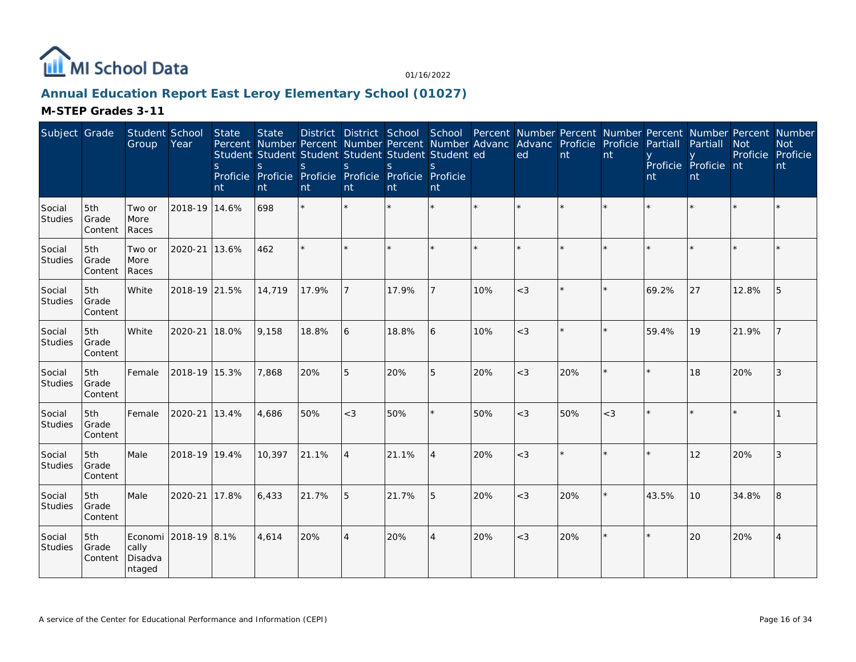

## **Annual Education Report East Leroy Elementary School (01027)**

| Subject Grade            |                         | Student School<br>Group               | Year          | State<br><sub>S</sub><br>nt | <b>State</b><br><sub>S</sub><br>nt | Percent Number Percent Number Percent Number Advanc Advanc Proficie Proficie<br>Student Student Student Student Student Student ed<br><sub>S</sub><br>Proficie Proficie Proficie Proficie Proficie Proficie<br>nt | <sub>S</sub><br>nt | S.<br>nt | $\mathcal{S}_{\mathcal{S}}$<br>nt |     | ed      | nt  | nt      | Partiall<br>nt | District District School School Percent Number Percent Number Percent Number Percent Number<br>Partiall<br>Proficie Proficie nt<br>nt | <b>Not</b><br>Proficie | <b>Not</b><br>Proficie<br>nt |
|--------------------------|-------------------------|---------------------------------------|---------------|-----------------------------|------------------------------------|-------------------------------------------------------------------------------------------------------------------------------------------------------------------------------------------------------------------|--------------------|----------|-----------------------------------|-----|---------|-----|---------|----------------|---------------------------------------------------------------------------------------------------------------------------------------|------------------------|------------------------------|
| Social<br>Studies        | 5th<br>Grade<br>Content | Two or<br>More<br>Races               | 2018-19 14.6% |                             | 698                                | $\star$                                                                                                                                                                                                           | $\star$            |          | $\star$                           |     | $\star$ |     |         |                |                                                                                                                                       |                        |                              |
| Social<br>Studies        | 5th<br>Grade<br>Content | Two or<br>More<br>Races               | 2020-21       | 13.6%                       | 462                                | $\star$                                                                                                                                                                                                           |                    |          | $\star$                           |     |         |     |         |                |                                                                                                                                       |                        |                              |
| Social<br>Studies        | 5th<br>Grade<br>Content | White                                 | 2018-19 21.5% |                             | 14,719                             | 17.9%                                                                                                                                                                                                             |                    | 17.9%    |                                   | 10% | $<$ 3   |     |         | 69.2%          | 27                                                                                                                                    | 12.8%                  | 5                            |
| Social<br><b>Studies</b> | 5th<br>Grade<br>Content | White                                 | 2020-21       | 18.0%                       | 9,158                              | 18.8%                                                                                                                                                                                                             | 6                  | 18.8%    | 6                                 | 10% | $<$ 3   |     |         | 59.4%          | 19                                                                                                                                    | 21.9%                  |                              |
| Social<br>Studies        | 5th<br>Grade<br>Content | Female                                | 2018-19 15.3% |                             | 7,868                              | 20%                                                                                                                                                                                                               | 5                  | 20%      | 5                                 | 20% | $<$ 3   | 20% |         |                | 18                                                                                                                                    | 20%                    | 3                            |
| Social<br>Studies        | 5th<br>Grade<br>Content | Female                                | 2020-21       | 13.4%                       | 4,686                              | 50%                                                                                                                                                                                                               | $<$ 3              | 50%      | ×.                                | 50% | $<$ 3   | 50% | $<$ 3   |                |                                                                                                                                       |                        |                              |
| Social<br>Studies        | 5th<br>Grade<br>Content | Male                                  | 2018-19 19.4% |                             | 10,397                             | 21.1%                                                                                                                                                                                                             | $\overline{4}$     | 21.1%    | $\overline{4}$                    | 20% | $<$ 3   |     |         |                | 12                                                                                                                                    | 20%                    | 3                            |
| Social<br>Studies        | 5th<br>Grade<br>Content | Male                                  | 2020-21       | 17.8%                       | 6,433                              | 21.7%                                                                                                                                                                                                             | 5                  | 21.7%    | 5                                 | 20% | $<$ 3   | 20% |         | 43.5%          | 10                                                                                                                                    | 34.8%                  | 8                            |
| Social<br><b>Studies</b> | 5th<br>Grade<br>Content | Economi<br>cally<br>Disadva<br>ntaged | 2018-19 8.1%  |                             | 4,614                              | 20%                                                                                                                                                                                                               | $\overline{4}$     | 20%      | 4                                 | 20% | $<$ 3   | 20% | $\star$ |                | 20                                                                                                                                    | 20%                    | $\overline{4}$               |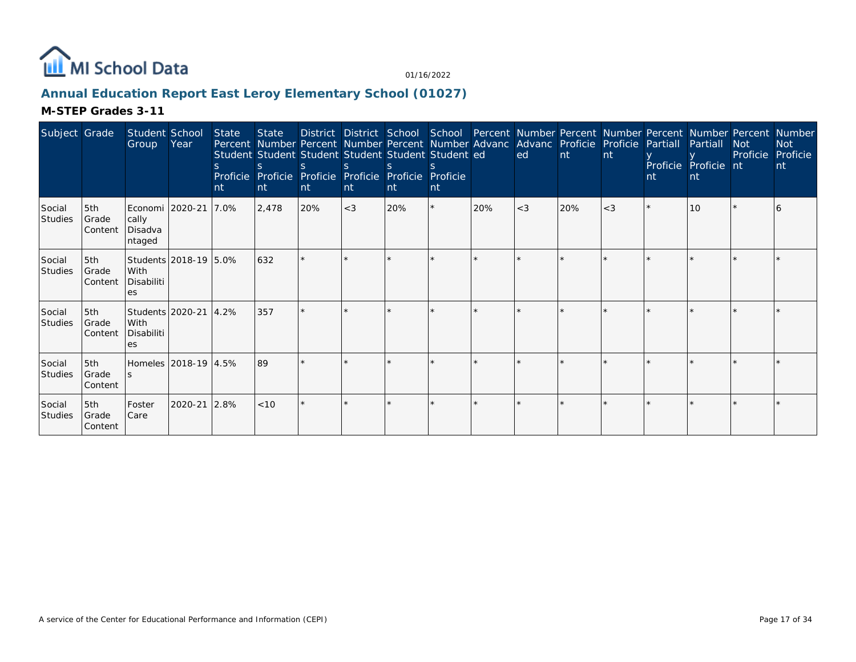

## **Annual Education Report East Leroy Elementary School (01027)**

| Subject Grade            |                                   | Student School<br>Group Year                      |                       | State<br>nt | State<br><sub>S</sub><br>Int | Student Student Student Student Student Student ed<br>Proficie Proficie Proficie Proficie Proficie Proficie<br><b>nt</b> | nt    | nt. | nt. |     | District District School School Percent Number Percent Number Percent Number Percent Number<br>Percent Number Percent Number Percent Number Advanc Advanc Proficie Proficie Partiall<br>ed | $\overline{nt}$ | nt    | nt | Partiall<br>Proficie Proficie nt<br><sub>nt</sub> | <b>Not</b><br>Proficie | <b>Not</b><br>Proficie<br>nt |
|--------------------------|-----------------------------------|---------------------------------------------------|-----------------------|-------------|------------------------------|--------------------------------------------------------------------------------------------------------------------------|-------|-----|-----|-----|--------------------------------------------------------------------------------------------------------------------------------------------------------------------------------------------|-----------------|-------|----|---------------------------------------------------|------------------------|------------------------------|
| Social<br><b>Studies</b> | 5th<br>Grade<br>l Content         | Economi   2020-21<br>cally<br>Disadva<br>ntaged   |                       | 7.0%        | 2,478                        | 20%                                                                                                                      | $<$ 3 | 20% | *   | 20% | $<$ 3                                                                                                                                                                                      | 20%             | $<$ 3 |    | 10                                                |                        |                              |
| Social<br><b>Studies</b> | l5th<br>l Grade<br><b>Content</b> | Students 2018-19 5.0%<br>With<br>Disabiliti<br>es |                       |             | 632                          | $\star$                                                                                                                  |       |     |     |     |                                                                                                                                                                                            |                 |       |    |                                                   |                        |                              |
| Social<br><b>Studies</b> | 5th<br>Grade<br>l Content         | With<br>Disabiliti<br>es.                         | Students 2020-21 4.2% |             | 357                          |                                                                                                                          |       |     |     |     |                                                                                                                                                                                            |                 |       |    |                                                   |                        |                              |
| Social<br>Studies        | 5th<br>Grade<br>l Content         | Homeles 2018-19 4.5%                              |                       |             | 89                           |                                                                                                                          |       |     |     |     |                                                                                                                                                                                            |                 |       |    |                                                   |                        |                              |
| Social<br><b>Studies</b> | 5th<br>Grade<br>l Content         | Foster<br>Care                                    | 2020-21               | 12.8%       | < 10                         |                                                                                                                          |       |     |     |     |                                                                                                                                                                                            |                 |       |    |                                                   |                        |                              |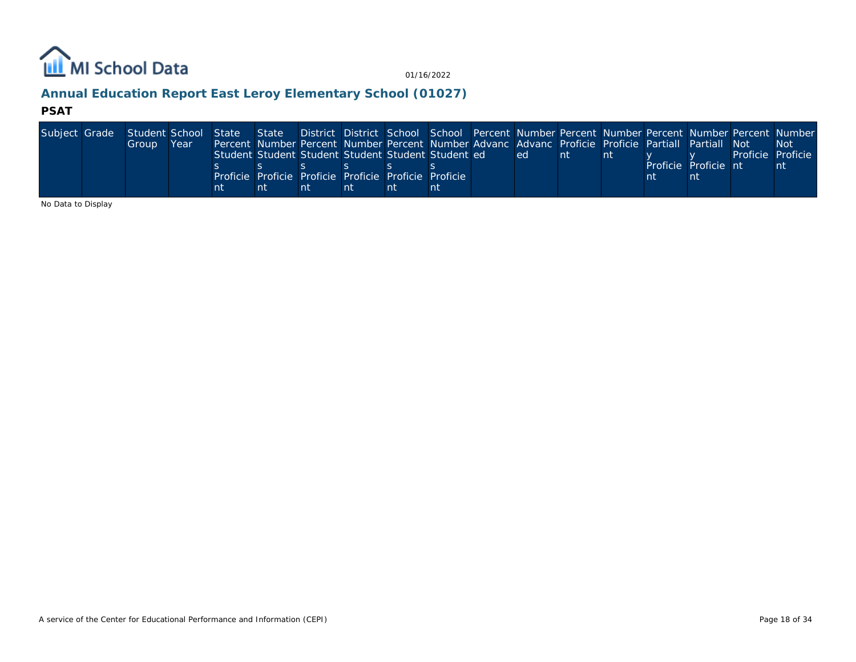

## **Annual Education Report East Leroy Elementary School (01027)**

#### **PSAT**

| Subject Grade Student School State State District District School School Percent Number Percent Number Percent Number Percent Number Number |       |      |    |                                                                                                    |    |    |    |     |     |    |                      |                   |
|---------------------------------------------------------------------------------------------------------------------------------------------|-------|------|----|----------------------------------------------------------------------------------------------------|----|----|----|-----|-----|----|----------------------|-------------------|
|                                                                                                                                             | Group | Year |    | Percent Number Percent Number Percent Number Advanc Advanc Proficie Proficie Partiall Partiall Not |    |    |    |     |     |    |                      | -Not              |
|                                                                                                                                             |       |      |    | Student Student Student Student Student Student ed                                                 |    |    |    | ed. | ∣nt | nt |                      | Proficie Proficie |
|                                                                                                                                             |       |      |    |                                                                                                    |    |    |    |     |     |    | Proficie Proficie nt | nt                |
|                                                                                                                                             |       |      |    | Proficie Proficie Proficie Proficie Proficie Proficie I                                            |    |    |    |     |     |    |                      |                   |
|                                                                                                                                             |       |      | nt | nt                                                                                                 | nt | nt | nt |     |     |    |                      |                   |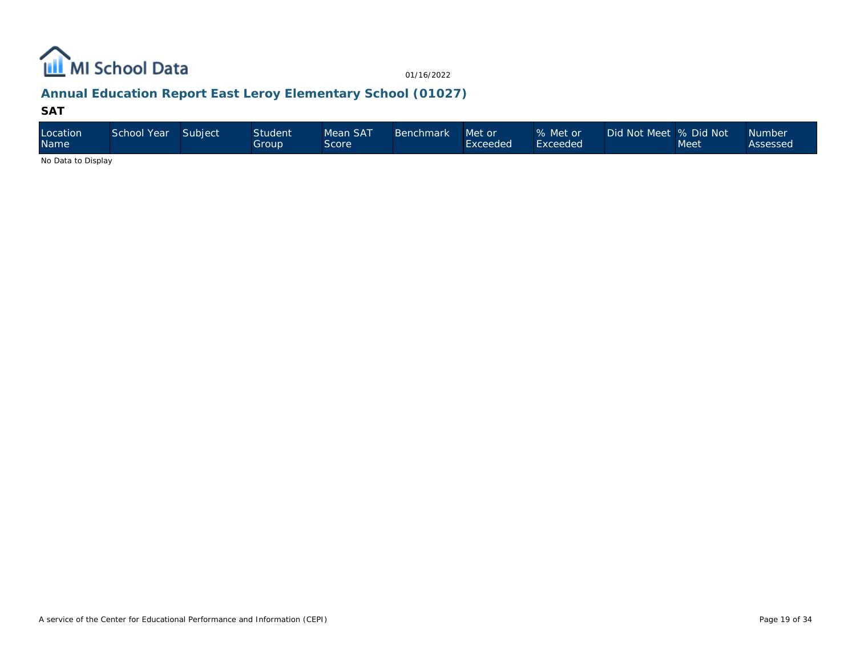

## **Annual Education Report East Leroy Elementary School (01027)**

#### **SAT**

| Location<br><b>Name</b>                                                                                | School Year | Subject | Student <sup>1</sup><br>Group | Mean SAT<br><b>Score</b> | Benchmark | Met or<br>Exceeded | % Met or<br>Exceeded <sup>1</sup> | Did Not Meet % Did Not | Meet | <b>Number</b><br>Assessed |
|--------------------------------------------------------------------------------------------------------|-------------|---------|-------------------------------|--------------------------|-----------|--------------------|-----------------------------------|------------------------|------|---------------------------|
| $\mathbf{A}$ . $\mathbf{B}$ . $\mathbf{A}$ . $\mathbf{B}$ . $\mathbf{B}$ . $\mathbf{A}$ . $\mathbf{B}$ |             |         |                               |                          |           |                    |                                   |                        |      |                           |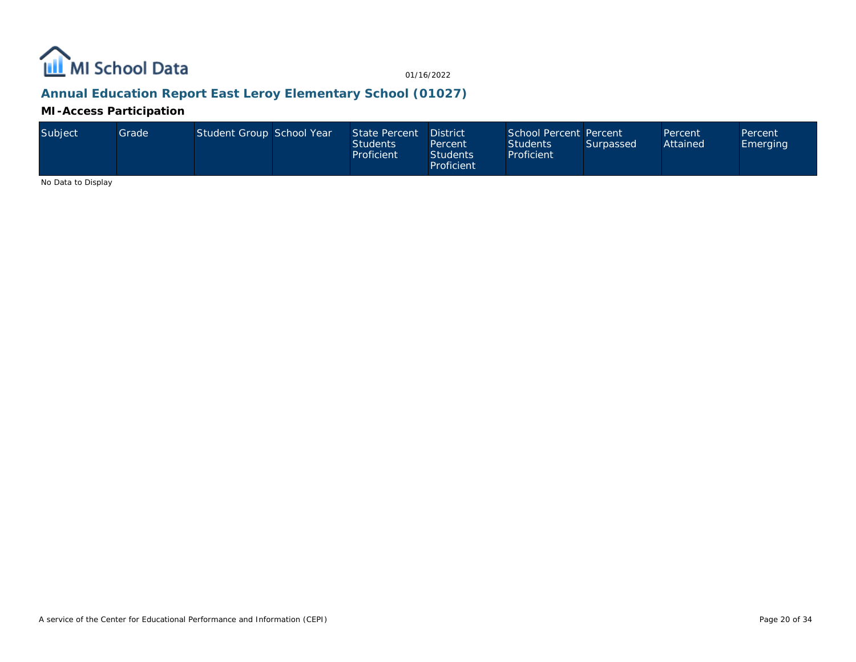

## **Annual Education Report East Leroy Elementary School (01027)**

**MI-Access Participation**

| Subiect | Grade I | Student Group School Year |  | State Percent<br><b>Students</b><br>Proficient | <b>District</b><br>Percent<br><b>Students</b><br>Proficient | School Percent Percent<br><b>Students</b><br>Proficient | Surpassed | Percent<br>Attained | Percent<br>Emerging |
|---------|---------|---------------------------|--|------------------------------------------------|-------------------------------------------------------------|---------------------------------------------------------|-----------|---------------------|---------------------|
|---------|---------|---------------------------|--|------------------------------------------------|-------------------------------------------------------------|---------------------------------------------------------|-----------|---------------------|---------------------|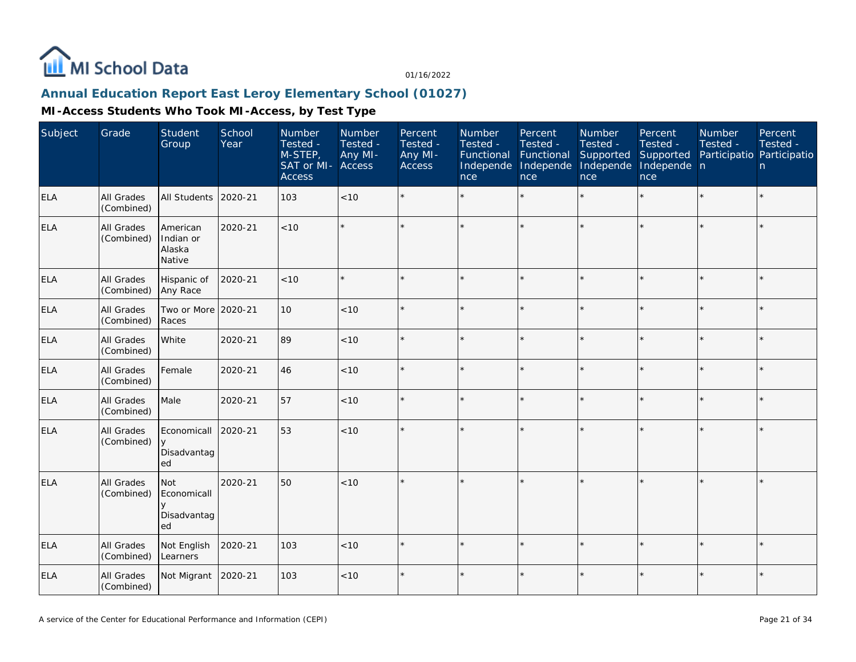

## **Annual Education Report East Leroy Elementary School (01027)**

| Subject    | Grade                    | Student<br>Group                                  | School<br>Year | Number<br>Tested -<br>M-STEP,<br>SAT or MI- Access<br><b>Access</b> | Number<br>Tested -<br>Any MI- | Percent<br>Tested -<br>Any MI-<br>Access | Number<br>Tested -<br>Functional<br>Independe<br>nce | Percent<br>Tested -<br>Functional<br>Independe<br>nce | Number<br>Tested -<br>Supported<br>Independe<br>nce | Percent<br>Tested -<br>Supported<br>Independe n<br>nce | Number<br>Tested -<br>Participatio Participatio | Percent<br>Tested -<br>n |
|------------|--------------------------|---------------------------------------------------|----------------|---------------------------------------------------------------------|-------------------------------|------------------------------------------|------------------------------------------------------|-------------------------------------------------------|-----------------------------------------------------|--------------------------------------------------------|-------------------------------------------------|--------------------------|
| <b>ELA</b> | All Grades<br>(Combined) | All Students                                      | 2020-21        | 103                                                                 | < 10                          | $\star$                                  |                                                      | $\star$                                               | $\star$                                             | $\star$                                                | $\star$                                         | $\star$                  |
| <b>ELA</b> | All Grades<br>(Combined) | American<br>Indian or<br>Alaska<br>Native         | 2020-21        | < 10                                                                | $\star$                       | ÷                                        |                                                      | ×                                                     | ÷.                                                  | $\star$                                                | $\star$                                         | ÷.                       |
| <b>ELA</b> | All Grades<br>(Combined) | Hispanic of<br>Any Race                           | 2020-21        | < 10                                                                | $\star$                       |                                          |                                                      | $\star$                                               | ×                                                   | $\star$                                                | $\star$                                         | $\star$                  |
| <b>ELA</b> | All Grades<br>(Combined) | Two or More 2020-21<br>Races                      |                | 10                                                                  | < 10                          | $\star$                                  |                                                      | $\star$                                               | $\star$                                             | $\star$                                                | $\star$                                         | $\star$                  |
| <b>ELA</b> | All Grades<br>(Combined) | White                                             | 2020-21        | 89                                                                  | $<10$                         | $\star$                                  |                                                      | $\star$                                               | $\star$                                             | ×.                                                     | $\star$                                         | $\star$                  |
| <b>ELA</b> | All Grades<br>(Combined) | Female                                            | 2020-21        | 46                                                                  | < 10                          |                                          |                                                      | ×                                                     |                                                     | $\star$                                                | $\star$                                         | $\star$                  |
| <b>ELA</b> | All Grades<br>(Combined) | Male                                              | 2020-21        | 57                                                                  | < 10                          | ÷                                        | $\star$                                              | $\star$                                               | $\star$                                             | $\star$                                                | $\star$                                         | $\star$                  |
| <b>ELA</b> | All Grades<br>(Combined) | Economicall<br>$\vee$<br>Disadvantag<br>ed        | 2020-21        | 53                                                                  | < 10                          |                                          |                                                      | ×                                                     | $\star$                                             | $\star$                                                |                                                 | $\star$                  |
| <b>ELA</b> | All Grades<br>(Combined) | Not<br>Economicall<br>$\vee$<br>Disadvantag<br>ed | 2020-21        | 50                                                                  | < 10                          |                                          |                                                      |                                                       |                                                     | ×.                                                     |                                                 | $\star$                  |
| <b>ELA</b> | All Grades<br>(Combined) | Not English<br>Learners                           | 2020-21        | 103                                                                 | < 10                          |                                          |                                                      | ÷                                                     |                                                     | ×.                                                     | ÷                                               | $\star$                  |
| <b>ELA</b> | All Grades<br>(Combined) | Not Migrant                                       | 2020-21        | 103                                                                 | < 10                          |                                          |                                                      | $\star$                                               |                                                     |                                                        | $\star$                                         | $\star$                  |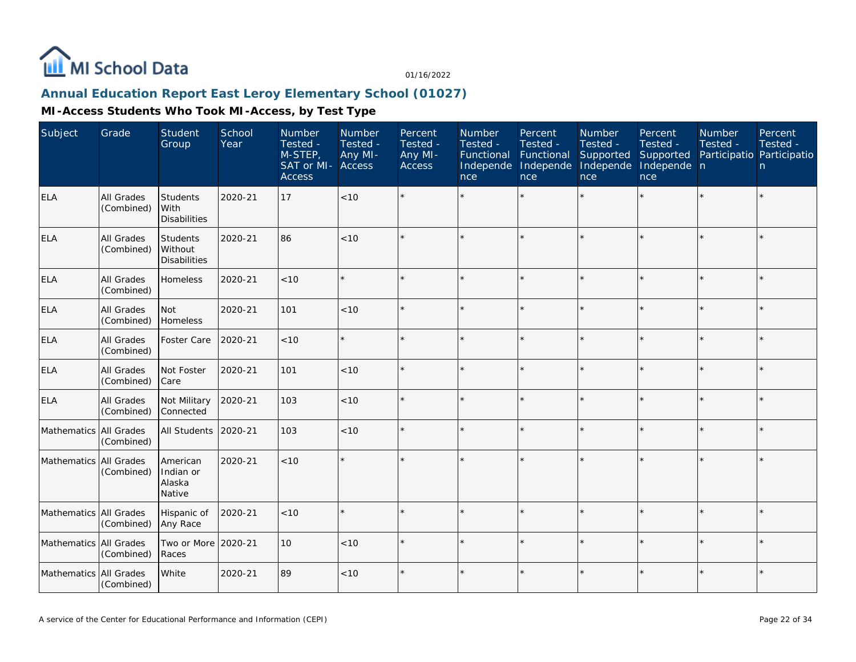

## **Annual Education Report East Leroy Elementary School (01027)**

| Subject                | Grade                           | Student<br>Group                                  | School<br>Year | Number<br>Tested -<br>M-STEP,<br>SAT or MI-<br><b>Access</b> | Number<br>Tested -<br>Any MI-<br>Access | Percent<br>Tested -<br>Any MI-<br><b>Access</b> | Number<br>Tested -<br>Functional<br>Independe<br>nce | Percent<br>Tested -<br>Functional<br>Independe<br>nce | Number<br>Tested -<br>Supported<br>Independe<br>nce | Percent<br>Tested -<br>Supported<br>Independe n<br>nce | Number<br>Tested -<br>Participatio Participatio | Percent<br>Tested -<br>n |
|------------------------|---------------------------------|---------------------------------------------------|----------------|--------------------------------------------------------------|-----------------------------------------|-------------------------------------------------|------------------------------------------------------|-------------------------------------------------------|-----------------------------------------------------|--------------------------------------------------------|-------------------------------------------------|--------------------------|
| ELA                    | <b>All Grades</b><br>(Combined) | Students<br>With<br><b>Disabilities</b>           | 2020-21        | 17                                                           | <10                                     |                                                 |                                                      | $\star$                                               |                                                     | ×.                                                     |                                                 | $\star$                  |
| ELA                    | All Grades<br>(Combined)        | <b>Students</b><br>Without<br><b>Disabilities</b> | 2020-21        | 86                                                           | < 10                                    | $\star$                                         |                                                      | $\star$                                               |                                                     | $\star$                                                | $\star$                                         | $\star$                  |
| <b>ELA</b>             | All Grades<br>(Combined)        | Homeless                                          | 2020-21        | <10                                                          |                                         |                                                 |                                                      | $\star$                                               | $\star$                                             | $\star$                                                | $\star$                                         | $\star$                  |
| <b>ELA</b>             | <b>All Grades</b><br>(Combined) | Not<br>Homeless                                   | 2020-21        | 101                                                          | < 10                                    |                                                 |                                                      | $\star$                                               |                                                     |                                                        | $\star$                                         | $\star$                  |
| <b>ELA</b>             | All Grades<br>(Combined)        | Foster Care                                       | 2020-21        | < 10                                                         |                                         |                                                 |                                                      | $\star$                                               | $\star$                                             | $\star$                                                | $\star$                                         | $\star$                  |
| <b>ELA</b>             | All Grades<br>(Combined)        | Not Foster<br>Care                                | 2020-21        | 101                                                          | < 10                                    |                                                 |                                                      | $\star$                                               |                                                     | $\star$                                                | $\star$                                         | $\star$                  |
| <b>ELA</b>             | All Grades<br>(Combined)        | Not Military<br>Connected                         | 2020-21        | 103                                                          | $<10$                                   |                                                 |                                                      | $\star$                                               |                                                     |                                                        |                                                 | $\star$                  |
| Mathematics All Grades | (Combined)                      | <b>All Students</b>                               | 2020-21        | 103                                                          | < 10                                    |                                                 |                                                      | $\star$                                               |                                                     | $\star$                                                | $\star$                                         | $\star$                  |
| Mathematics All Grades | (Combined)                      | American<br>Indian or<br>Alaska<br>Native         | 2020-21        | < 10                                                         |                                         |                                                 |                                                      | $\star$                                               |                                                     | $\star$                                                | $\star$                                         | $\star$                  |
| Mathematics All Grades | (Combined)                      | Hispanic of<br>Any Race                           | 2020-21        | < 10                                                         |                                         | $\star$                                         |                                                      | $\star$                                               | $\star$                                             | $\star$                                                | $\star$                                         | $\star$                  |
| Mathematics All Grades | (Combined)                      | Two or More<br>Races                              | 2020-21        | 10                                                           | < 10                                    |                                                 |                                                      | $\star$                                               | ÷                                                   | ×.                                                     | $\star$                                         | $\star$                  |
| Mathematics All Grades | (Combined)                      | White                                             | 2020-21        | 89                                                           | $<10$                                   | $\star$                                         |                                                      | $\star$                                               | $\star$                                             | $\star$                                                | $\star$                                         | $\star$                  |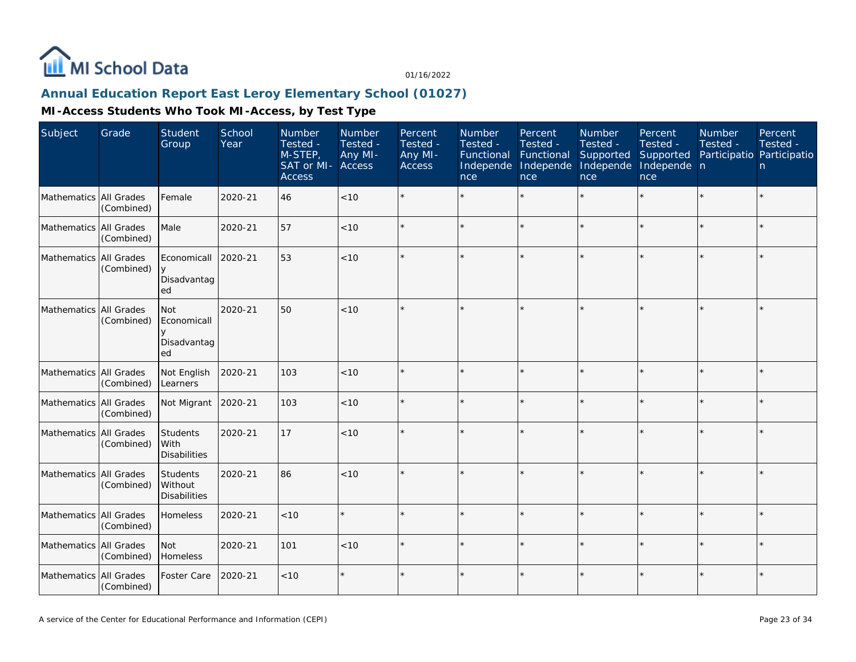

## **Annual Education Report East Leroy Elementary School (01027)**

| Subject                  | Grade      | Student<br>Group                               | School<br>Year | Number<br>Tested -<br>M-STEP,<br>SAT or MI-<br><b>Access</b> | <b>Number</b><br>Tested -<br>Any MI-<br>Access | Percent<br>Tested -<br>Any MI-<br><b>Access</b> | Number<br>Tested -<br>Functional<br>Independe<br>nce | Percent<br>Tested -<br>Functional<br>Independe<br>nce | Number<br>Tested -<br>Supported<br>Independe<br>nce | Percent<br>Tested -<br>Supported<br>Independe n<br>nce | <b>Number</b><br>Tested -<br>Participatio Participatio | Percent<br>Tested -<br>n |
|--------------------------|------------|------------------------------------------------|----------------|--------------------------------------------------------------|------------------------------------------------|-------------------------------------------------|------------------------------------------------------|-------------------------------------------------------|-----------------------------------------------------|--------------------------------------------------------|--------------------------------------------------------|--------------------------|
| Mathematics All Grades   | (Combined) | Female                                         | 2020-21        | 46                                                           | < 10                                           |                                                 |                                                      | $\star$                                               |                                                     |                                                        |                                                        | $\star$                  |
| Mathematics All Grades   | (Combined) | Male                                           | 2020-21        | 57                                                           | < 10                                           |                                                 |                                                      | $\star$                                               |                                                     | $\star$                                                | $\star$                                                | $\star$                  |
| Mathematics All Grades   | (Combined) | Economicall<br>Disadvantag<br>ed               | 2020-21        | 53                                                           | < 10                                           |                                                 |                                                      |                                                       |                                                     |                                                        |                                                        | $\star$                  |
| Mathematics   All Grades | (Combined) | <b>Not</b><br>Economicall<br>Disadvantag<br>ed | 2020-21        | 50                                                           | < 10                                           |                                                 |                                                      | $\star$                                               |                                                     |                                                        |                                                        | $\star$                  |
| Mathematics All Grades   | (Combined) | Not English<br>Learners                        | 2020-21        | 103                                                          | $<10$                                          |                                                 |                                                      | $\star$                                               |                                                     |                                                        |                                                        | $\star$                  |
| Mathematics All Grades   | (Combined) | Not Migrant                                    | 2020-21        | 103                                                          | < 10                                           |                                                 |                                                      | $\star$                                               |                                                     | ×.                                                     |                                                        | $\star$                  |
| Mathematics All Grades   | (Combined) | Students<br>With<br><b>Disabilities</b>        | 2020-21        | 17                                                           | < 10                                           |                                                 |                                                      |                                                       |                                                     | ×.                                                     |                                                        | $\star$                  |
| Mathematics All Grades   | (Combined) | Students<br>Without<br><b>Disabilities</b>     | 2020-21        | 86                                                           | < 10                                           |                                                 |                                                      |                                                       |                                                     |                                                        |                                                        | $\star$                  |
| Mathematics All Grades   | (Combined) | Homeless                                       | 2020-21        | < 10                                                         | $\star$                                        |                                                 |                                                      | $\star$                                               |                                                     | ×.                                                     |                                                        | $\star$                  |
| Mathematics All Grades   | (Combined) | <b>Not</b><br>Homeless                         | 2020-21        | 101                                                          | < 10                                           |                                                 |                                                      | $\star$                                               | ÷,                                                  | $\star$                                                |                                                        | ÷.                       |
| Mathematics All Grades   | (Combined) | Foster Care                                    | 2020-21        | < 10                                                         | $\star$                                        |                                                 |                                                      | $\star$                                               |                                                     | $\star$                                                |                                                        | $\star$                  |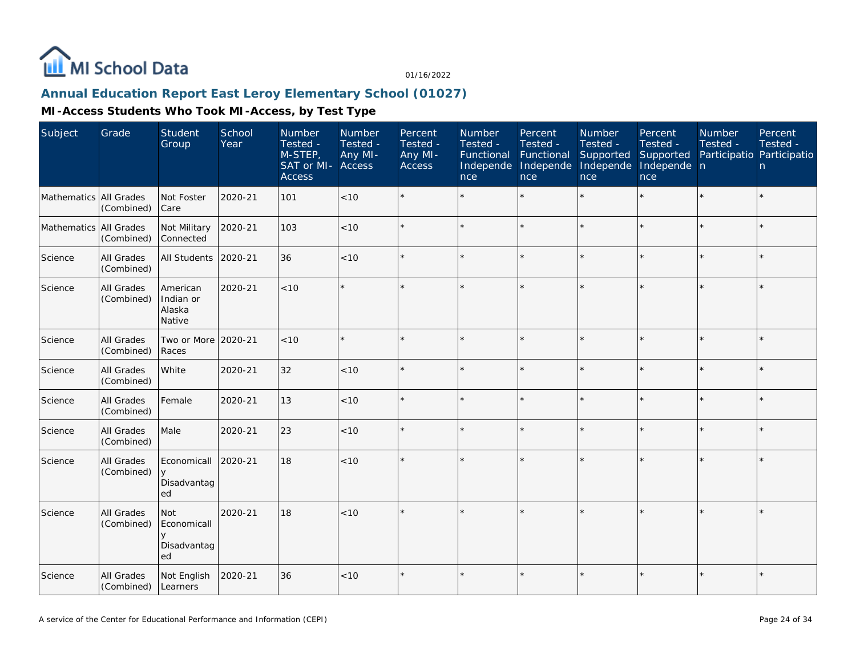

# **Annual Education Report East Leroy Elementary School (01027)**

| Subject                  | Grade                           | Student<br>Group                               | School<br>Year | Number<br>Tested -<br>M-STEP,<br>SAT or MI-<br><b>Access</b> | Number<br>Tested -<br>Any MI-<br><b>Access</b> | Percent<br>Tested -<br>Any MI-<br>Access | Number<br>Tested -<br>Functional<br>Independe<br>nce | Percent<br>Tested -<br>Functional<br>Independe<br>nce | Number<br>Tested -<br>Supported<br>Independe<br>nce | Percent<br>Tested -<br>Supported<br>Independe n<br>nce | <b>Number</b><br>Tested -<br>Participatio Participatio | Percent<br>Tested -<br>n |
|--------------------------|---------------------------------|------------------------------------------------|----------------|--------------------------------------------------------------|------------------------------------------------|------------------------------------------|------------------------------------------------------|-------------------------------------------------------|-----------------------------------------------------|--------------------------------------------------------|--------------------------------------------------------|--------------------------|
| Mathematics All Grades   | (Combined)                      | Not Foster<br>Care                             | 2020-21        | 101                                                          | < 10                                           |                                          |                                                      | $\star$                                               | ÷.                                                  |                                                        |                                                        | $\star$                  |
| Mathematics   All Grades | (Combined)                      | Not Military<br>Connected                      | 2020-21        | 103                                                          | < 10                                           |                                          |                                                      | $\star$                                               |                                                     | $\star$                                                |                                                        | $\star$                  |
| Science                  | All Grades<br>(Combined)        | <b>All Students</b>                            | 2020-21        | 36                                                           | $<10$                                          |                                          |                                                      | $\star$                                               |                                                     | ×.                                                     |                                                        | $\star$                  |
| Science                  | <b>All Grades</b><br>(Combined) | American<br>Indian or<br>Alaska<br>Native      | 2020-21        | < 10                                                         | $\star$                                        |                                          |                                                      | $\star$                                               |                                                     | ×.                                                     |                                                        | $\star$                  |
| Science                  | All Grades<br>(Combined)        | Two or More 2020-21<br>Races                   |                | < 10                                                         | $\star$                                        |                                          |                                                      | $\star$                                               |                                                     | ×.                                                     | $\star$                                                | $\star$                  |
| Science                  | All Grades<br>(Combined)        | White                                          | 2020-21        | 32                                                           | $<10$                                          |                                          |                                                      | $\star$                                               |                                                     | ×.                                                     |                                                        | $\star$                  |
| Science                  | All Grades<br>(Combined)        | Female                                         | 2020-21        | 13                                                           | $<10$                                          |                                          |                                                      | $\star$                                               |                                                     | $\star$                                                |                                                        | $\star$                  |
| Science                  | All Grades<br>(Combined)        | Male                                           | 2020-21        | 23                                                           | < 10                                           |                                          |                                                      |                                                       |                                                     | $\star$                                                | $\star$                                                | $\star$                  |
| Science                  | All Grades<br>(Combined)        | Economicall<br>$\vee$<br>Disadvantag<br>ed     | 2020-21        | 18                                                           | < 10                                           |                                          |                                                      |                                                       |                                                     |                                                        |                                                        | $\star$                  |
| Science                  | All Grades<br>(Combined)        | <b>Not</b><br>Economicall<br>Disadvantag<br>ed | 2020-21        | 18                                                           | < 10                                           |                                          |                                                      |                                                       |                                                     | $\star$                                                |                                                        | $\star$                  |
| Science                  | All Grades<br>(Combined)        | Not English<br>Learners                        | 2020-21        | 36                                                           | < 10                                           |                                          |                                                      | $\star$                                               |                                                     | $\star$                                                |                                                        | $\star$                  |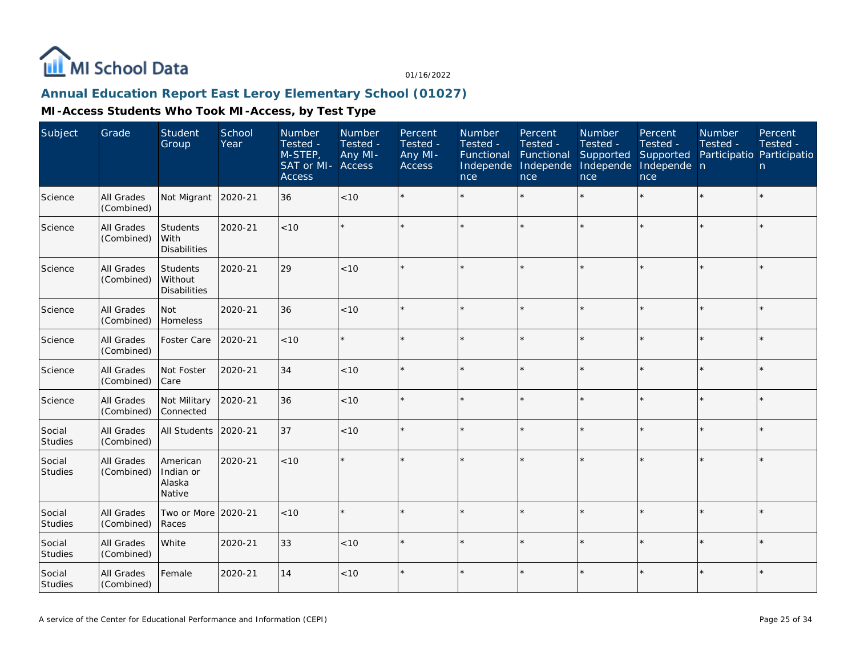

#### **Annual Education Report East Leroy Elementary School (01027)**

| Subject                  | Grade                           | Student<br>Group                           | School<br>Year | Number<br>Tested -<br>M-STEP,<br>SAT or MI-<br><b>Access</b> | Number<br>Tested -<br>Any MI-<br><b>Access</b> | Percent<br>Tested -<br>Any MI-<br><b>Access</b> | Number<br>Tested -<br>Functional<br>Independe<br>nce | Percent<br>Tested -<br>Functional<br>Independe<br>nce | <b>Number</b><br>Tested -<br>Supported<br>Independe<br>nce | Percent<br>Tested -<br>Supported<br>Independe n<br>nce | Number<br>Tested - | Percent<br>Tested -<br>Participatio Participatio<br>n. |
|--------------------------|---------------------------------|--------------------------------------------|----------------|--------------------------------------------------------------|------------------------------------------------|-------------------------------------------------|------------------------------------------------------|-------------------------------------------------------|------------------------------------------------------------|--------------------------------------------------------|--------------------|--------------------------------------------------------|
| Science                  | All Grades<br>(Combined)        | Not Migrant                                | 2020-21        | 36                                                           | < 10                                           |                                                 |                                                      |                                                       |                                                            |                                                        |                    | $\star$                                                |
| Science                  | All Grades<br>(Combined)        | Students<br>With<br><b>Disabilities</b>    | 2020-21        | < 10                                                         |                                                |                                                 |                                                      |                                                       |                                                            |                                                        |                    | $\star$                                                |
| Science                  | All Grades<br>(Combined)        | Students<br>Without<br><b>Disabilities</b> | 2020-21        | 29                                                           | < 10                                           |                                                 |                                                      |                                                       |                                                            |                                                        |                    | ÷.                                                     |
| Science                  | All Grades<br>(Combined)        | <b>Not</b><br>Homeless                     | 2020-21        | 36                                                           | < 10                                           |                                                 |                                                      |                                                       |                                                            |                                                        |                    | $\star$                                                |
| Science                  | All Grades<br>(Combined)        | Foster Care                                | 2020-21        | < 10                                                         | $\star$                                        |                                                 |                                                      |                                                       |                                                            |                                                        | ×.                 | $\star$                                                |
| Science                  | All Grades<br>(Combined)        | Not Foster<br><b>Care</b>                  | 2020-21        | 34                                                           | $<10$                                          |                                                 |                                                      |                                                       |                                                            |                                                        |                    | $\star$                                                |
| Science                  | All Grades<br>(Combined)        | Not Military<br>l Connected                | 2020-21        | 36                                                           | < 10                                           |                                                 |                                                      |                                                       |                                                            |                                                        |                    | $\star$                                                |
| Social<br><b>Studies</b> | All Grades<br>(Combined)        | All Students                               | 2020-21        | 37                                                           | < 10                                           |                                                 |                                                      |                                                       |                                                            |                                                        |                    | $\star$                                                |
| Social<br>Studies        | All Grades<br>(Combined)        | American<br>Indian or<br>Alaska<br>Native  | 2020-21        | < 10                                                         | $\star$                                        |                                                 |                                                      |                                                       |                                                            |                                                        |                    | $\star$                                                |
| Social<br><b>Studies</b> | All Grades<br>(Combined)        | Two or More<br>Races                       | 2020-21        | < 10                                                         | $\star$                                        |                                                 |                                                      | $\star$                                               |                                                            |                                                        |                    | $\star$                                                |
| Social<br>Studies        | All Grades<br>(Combined)        | White                                      | 2020-21        | 33                                                           | $<10$                                          |                                                 |                                                      |                                                       |                                                            |                                                        |                    | ÷.                                                     |
| Social<br>Studies        | <b>All Grades</b><br>(Combined) | Female                                     | 2020-21        | 14                                                           | < 10                                           |                                                 |                                                      |                                                       |                                                            |                                                        |                    | $\star$                                                |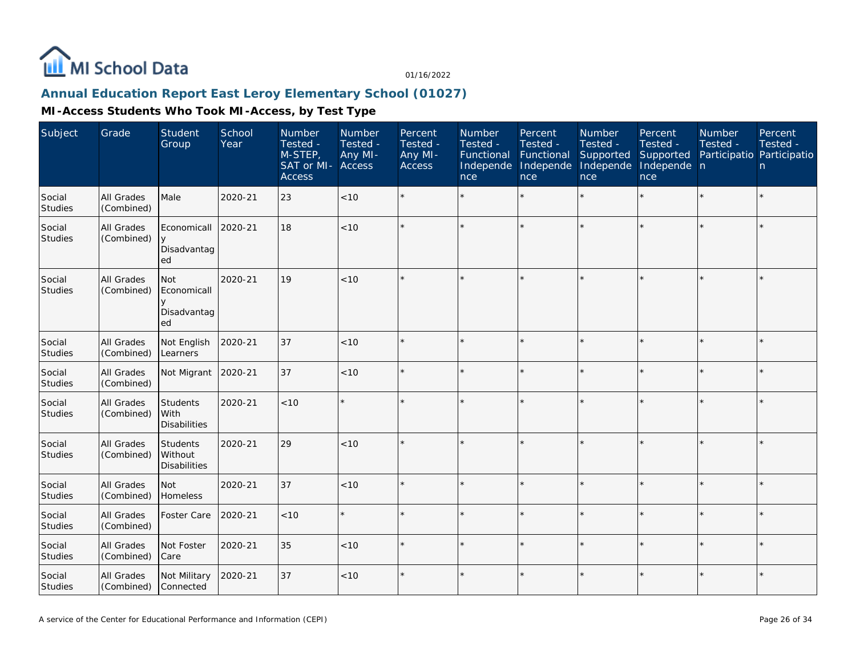

#### **Annual Education Report East Leroy Elementary School (01027)**

| Subject                  | Grade                           | Student<br>Group                                    | School<br>Year | Number<br>Tested -<br>M-STEP,<br>SAT or MI-<br><b>Access</b> | <b>Number</b><br>Tested -<br>Any MI-<br><b>Access</b> | Percent<br>Tested -<br>Any MI-<br><b>Access</b> | Number<br>Tested -<br>Functional<br>Independe<br>nce | Percent<br>Tested -<br>Functional<br>Independe<br>nce | <b>Number</b><br>Tested -<br>Supported<br>Independe<br>nce | Percent<br>Tested -<br>Supported<br>Independe n<br>nce | Number<br>Tested -<br>Participatio Participatio | Percent<br>Tested -<br>n |
|--------------------------|---------------------------------|-----------------------------------------------------|----------------|--------------------------------------------------------------|-------------------------------------------------------|-------------------------------------------------|------------------------------------------------------|-------------------------------------------------------|------------------------------------------------------------|--------------------------------------------------------|-------------------------------------------------|--------------------------|
| Social<br>Studies        | All Grades<br>(Combined)        | Male                                                | 2020-21        | 23                                                           | < 10                                                  |                                                 |                                                      | $\star$                                               |                                                            |                                                        |                                                 | $\star$                  |
| Social<br><b>Studies</b> | All Grades<br>(Combined)        | Economicall<br>y<br>Disadvantag<br>ed               | 2020-21        | 18                                                           | < 10                                                  |                                                 |                                                      | $\star$                                               |                                                            | $\star$                                                | $\star$                                         | $\star$                  |
| Social<br>Studies        | All Grades<br>(Combined)        | <b>Not</b><br>Economicall<br>y<br>Disadvantag<br>ed | 2020-21        | 19                                                           | < 10                                                  |                                                 |                                                      |                                                       |                                                            |                                                        |                                                 | $\star$                  |
| Social<br><b>Studies</b> | All Grades<br>(Combined)        | Not English<br>Learners                             | 2020-21        | 37                                                           | < 10                                                  |                                                 |                                                      |                                                       |                                                            |                                                        |                                                 | $\star$                  |
| Social<br><b>Studies</b> | All Grades<br>(Combined)        | Not Migrant                                         | 2020-21        | 37                                                           | $<10$                                                 |                                                 |                                                      | $\star$                                               |                                                            | $\star$                                                |                                                 | $\star$                  |
| Social<br>Studies        | All Grades<br>(Combined)        | Students<br>With<br><b>Disabilities</b>             | 2020-21        | < 10                                                         | $\star$                                               |                                                 |                                                      | $\star$                                               |                                                            |                                                        |                                                 | $\star$                  |
| Social<br>Studies        | All Grades<br>(Combined)        | Students<br>Without<br><b>Disabilities</b>          | 2020-21        | 29                                                           | < 10                                                  |                                                 |                                                      | $\star$                                               |                                                            | $\star$                                                | $\star$                                         | $\star$                  |
| Social<br><b>Studies</b> | All Grades<br>(Combined)        | <b>Not</b><br>Homeless                              | 2020-21        | 37                                                           | < 10                                                  |                                                 |                                                      |                                                       |                                                            | $\star$                                                |                                                 | $\star$                  |
| Social<br>Studies        | <b>All Grades</b><br>(Combined) | Foster Care                                         | 2020-21        | < 10                                                         | $\star$                                               |                                                 |                                                      | $\star$                                               |                                                            |                                                        |                                                 | $\star$                  |
| Social<br>Studies        | All Grades<br>(Combined)        | Not Foster<br>Care                                  | 2020-21        | 35                                                           | < 10                                                  |                                                 |                                                      | $\star$                                               | ÷,                                                         | $\star$                                                |                                                 | ÷.                       |
| Social<br>Studies        | All Grades<br>(Combined)        | Not Military<br>Connected                           | 2020-21        | 37                                                           | $<10$                                                 |                                                 |                                                      | $\star$                                               |                                                            | $\star$                                                |                                                 | $\star$                  |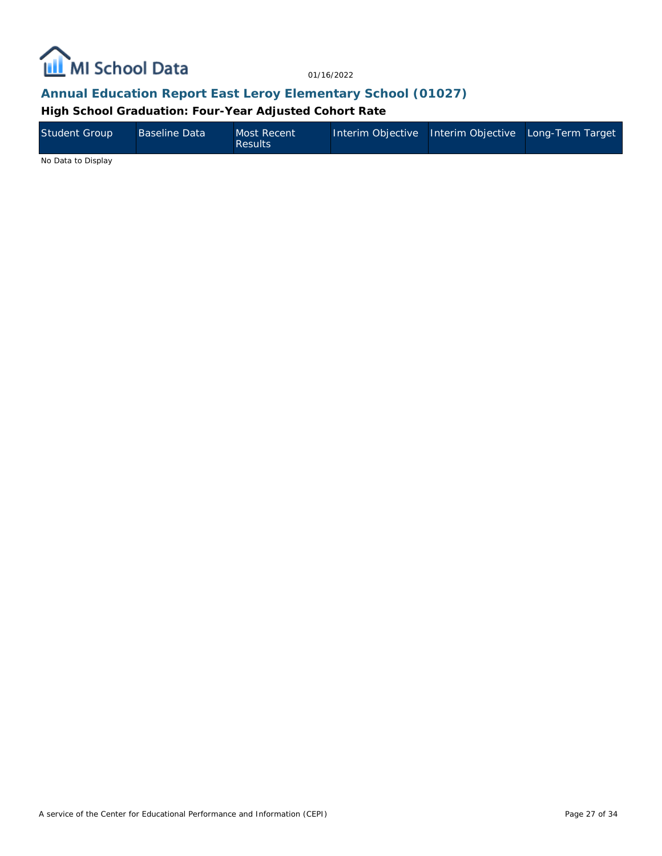

#### **Annual Education Report East Leroy Elementary School (01027)**

**High School Graduation: Four-Year Adjusted Cohort Rate**

| <b>Student Group</b> | <b>Baseline Data</b> | Most Recent<br><b>Results</b> | Interim Objective Interim Objective Long-Term Target |  |
|----------------------|----------------------|-------------------------------|------------------------------------------------------|--|
| .                    |                      |                               |                                                      |  |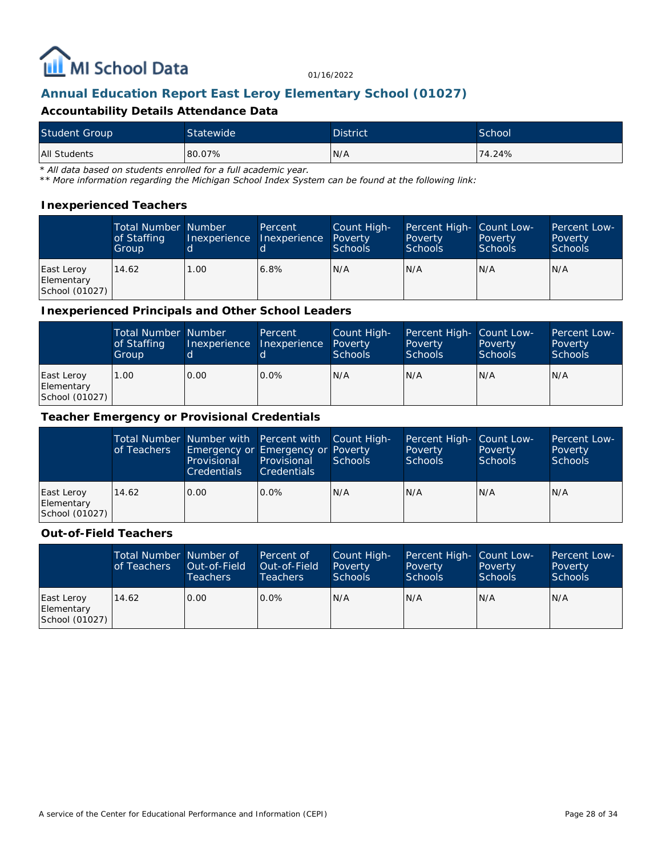

### **Annual Education Report East Leroy Elementary School (01027)**

#### **Accountability Details Attendance Data**

| <b>Student Group</b> | Statewide | <b>District</b> | School |
|----------------------|-----------|-----------------|--------|
| <b>All Students</b>  | 80.07%    | N/A             | 74.24% |

*\* All data based on students enrolled for a full academic year.*

*\*\* More information regarding the Michigan School Index System can be found at the following link:*

#### **Inexperienced Teachers**

|                                            | <b>Total Number Number</b><br>of Staffing<br>Group |      | Percent<br>Inexperience Inexperience | Count High-<br>Poverty<br><b>Schools</b> | Percent High- Count Low-<br>Poverty<br><b>Schools</b> | Poverty<br><b>Schools</b> | Percent Low-<br>Poverty<br><b>Schools</b> |
|--------------------------------------------|----------------------------------------------------|------|--------------------------------------|------------------------------------------|-------------------------------------------------------|---------------------------|-------------------------------------------|
| East Leroy<br>Elementary<br>School (01027) | 14.62                                              | 1.00 | 6.8%                                 | N/A                                      | N/A                                                   | IN/A                      | IN/A                                      |

#### **Inexperienced Principals and Other School Leaders**

|                                            | <b>Total Number Number</b><br>of Staffing<br>Group |      | Percent<br>Inexperience Inexperience | Count High-<br>Poverty<br><b>Schools</b> | Percent High- Count Low-<br>Poverty<br><b>Schools</b> | Poverty<br><b>Schools</b> | Percent Low-<br>Poverty<br><b>Schools</b> |
|--------------------------------------------|----------------------------------------------------|------|--------------------------------------|------------------------------------------|-------------------------------------------------------|---------------------------|-------------------------------------------|
| East Leroy<br>Elementary<br>School (01027) | 1.00                                               | 0.00 | $0.0\%$                              | IN/A                                     | N/A                                                   | IN/A                      | IN/A                                      |

#### **Teacher Emergency or Provisional Credentials**

|                                            | of Teachers | Total Number Number with Percent with Count High-<br>Emergency or Emergency or Poverty<br>Provisional<br><b>Credentials</b> | Provisional<br><b>Credentials</b> | Schools | Percent High- Count Low-<br>Poverty<br>Schools | Poverty<br>Schools | Percent Low-<br>Poverty<br>Schools |
|--------------------------------------------|-------------|-----------------------------------------------------------------------------------------------------------------------------|-----------------------------------|---------|------------------------------------------------|--------------------|------------------------------------|
| East Leroy<br>Elementary<br>School (01027) | 14.62       | 0.00                                                                                                                        | $0.0\%$                           | IN/A    | N/A                                            | N/A                | IN/A                               |

#### **Out-of-Field Teachers**

|                                            | Total Number Number of<br>of Teachers | Out-of-Field<br><b>Teachers</b> | Percent of<br>Out-of-Field<br>Teachers | Count High-<br>Poverty<br>Schools | Percent High- Count Low-<br>Poverty<br><b>Schools</b> | Poverty<br><b>Schools</b> | Percent Low-<br>Poverty<br><b>Schools</b> |
|--------------------------------------------|---------------------------------------|---------------------------------|----------------------------------------|-----------------------------------|-------------------------------------------------------|---------------------------|-------------------------------------------|
| East Leroy<br>Elementary<br>School (01027) | 14.62                                 | 0.00                            | $0.0\%$                                | N/A                               | N/A                                                   | N/A                       | IN/A                                      |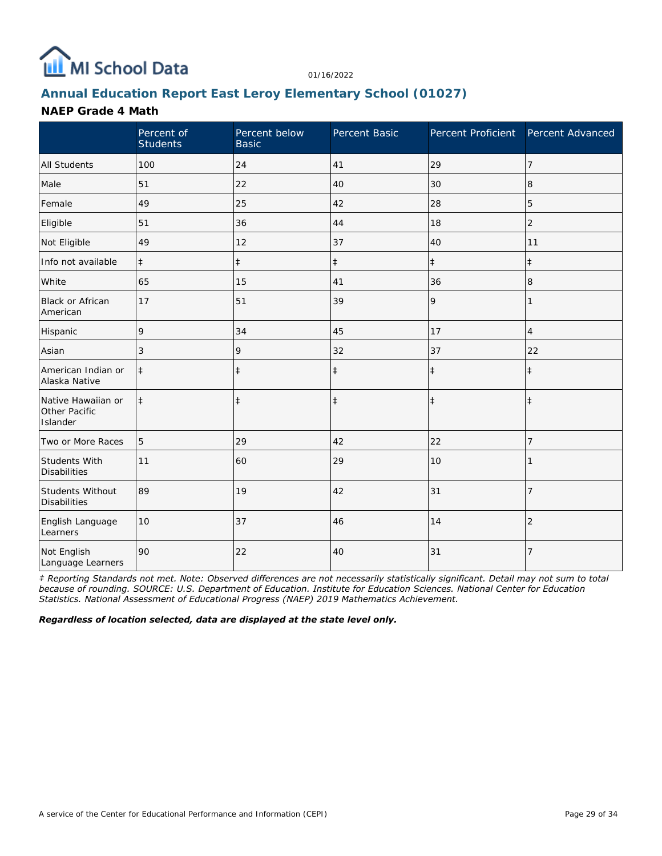

### **Annual Education Report East Leroy Elementary School (01027)**

#### **NAEP Grade 4 Math**

|                                                 | Percent of<br><b>Students</b> | Percent below<br><b>Basic</b> | Percent Basic | Percent Proficient | Percent Advanced |
|-------------------------------------------------|-------------------------------|-------------------------------|---------------|--------------------|------------------|
| <b>All Students</b>                             | 100                           | 24                            | 41            | 29                 | 7                |
| Male                                            | 51                            | 22                            | 40            | 30                 | 8                |
| Female                                          | 49                            | 25                            | 42            | 28                 | 5                |
| Eligible                                        | 51                            | 36                            | 44            | 18                 | $\overline{2}$   |
| Not Eligible                                    | 49                            | 12                            | 37            | 40                 | 11               |
| Info not available                              | $\ddagger$                    | $\ddagger$                    | $\ddagger$    | $\ddagger$         | $\ddagger$       |
| White                                           | 65                            | 15                            | 41            | 36                 | 8                |
| <b>Black or African</b><br>American             | 17                            | 51                            | 39            | 9                  | 1                |
| Hispanic                                        | 9                             | 34                            | 45            | 17                 | 4                |
| Asian                                           | 3                             | 9                             | 32            | 37                 | 22               |
| American Indian or<br>Alaska Native             | $\ddagger$                    | $\ddagger$                    | $\ddagger$    | $\ddagger$         | $\ddagger$       |
| Native Hawaiian or<br>Other Pacific<br>Islander | $\ddagger$                    | $\ddagger$                    | $\ddagger$    | $\ddagger$         | $\ddagger$       |
| Two or More Races                               | 5                             | 29                            | 42            | 22                 | 7                |
| Students With<br><b>Disabilities</b>            | 11                            | 60                            | 29            | 10                 |                  |
| Students Without<br><b>Disabilities</b>         | 89                            | 19                            | 42            | 31                 | $\overline{7}$   |
| English Language<br>Learners                    | 10                            | 37                            | 46            | 14                 | $\overline{2}$   |
| Not English<br>Language Learners                | 90                            | 22                            | 40            | 31                 | 7                |

*‡ Reporting Standards not met. Note: Observed differences are not necessarily statistically significant. Detail may not sum to total because of rounding. SOURCE: U.S. Department of Education. Institute for Education Sciences. National Center for Education Statistics. National Assessment of Educational Progress (NAEP) 2019 Mathematics Achievement.*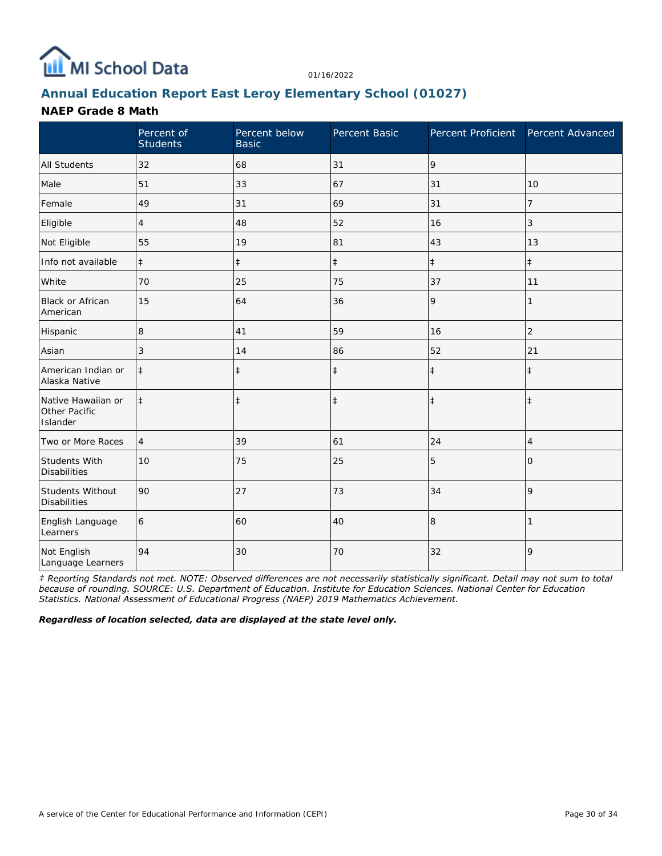

### **Annual Education Report East Leroy Elementary School (01027)**

#### **NAEP Grade 8 Math**

|                                                 | Percent of<br><b>Students</b> | Percent below<br><b>Basic</b> | Percent Basic | Percent Proficient Percent Advanced |                |
|-------------------------------------------------|-------------------------------|-------------------------------|---------------|-------------------------------------|----------------|
| <b>All Students</b>                             | 32                            | 68                            | 31            | 9                                   |                |
| Male                                            | 51                            | 33                            | 67            | 31                                  | 10             |
| Female                                          | 49                            | 31                            | 69            | 31                                  | 7              |
| Eligible                                        | 4                             | 48                            | 52            | 16                                  | 3              |
| Not Eligible                                    | 55                            | 19                            | 81            | 43                                  | 13             |
| Info not available                              | $\ddagger$                    | $\ddagger$                    | $\ddagger$    | $\ddagger$                          | $\ddagger$     |
| White                                           | 70                            | 25                            | 75            | 37                                  | 11             |
| Black or African<br>American                    | 15                            | 64                            | 36            | 9                                   | 1              |
| Hispanic                                        | 8                             | 41                            | 59            | 16                                  | $\overline{2}$ |
| Asian                                           | 3                             | 14                            | 86            | 52                                  | 21             |
| American Indian or<br>Alaska Native             | $\ddagger$                    | $\ddagger$                    | $\ddagger$    | $\ddagger$                          | $\ddagger$     |
| Native Hawaiian or<br>Other Pacific<br>Islander | $\ddagger$                    | $\ddagger$                    | $\ddagger$    | $\ddagger$                          | $\ddagger$     |
| Two or More Races                               | $\overline{4}$                | 39                            | 61            | 24                                  | 4              |
| Students With<br><b>Disabilities</b>            | 10                            | 75                            | 25            | 5                                   | 0              |
| Students Without<br><b>Disabilities</b>         | 90                            | 27                            | 73            | 34                                  | 9              |
| English Language<br>Learners                    | 6                             | 60                            | 40            | 8                                   | 1              |
| Not English<br>Language Learners                | 94                            | 30                            | 70            | 32                                  | 9              |

*‡ Reporting Standards not met. NOTE: Observed differences are not necessarily statistically significant. Detail may not sum to total because of rounding. SOURCE: U.S. Department of Education. Institute for Education Sciences. National Center for Education Statistics. National Assessment of Educational Progress (NAEP) 2019 Mathematics Achievement.*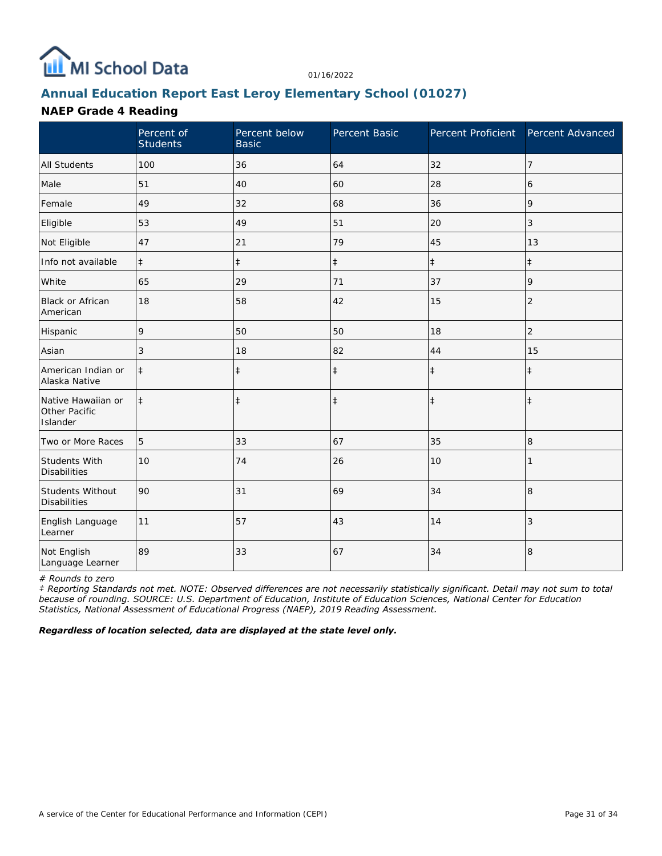

### **Annual Education Report East Leroy Elementary School (01027)**

#### **NAEP Grade 4 Reading**

|                                                 | Percent of<br><b>Students</b> | Percent below<br><b>Basic</b> | Percent Basic | Percent Proficient | Percent Advanced |
|-------------------------------------------------|-------------------------------|-------------------------------|---------------|--------------------|------------------|
| <b>All Students</b>                             | 100                           | 36                            | 64            | 32                 | $\overline{7}$   |
| Male                                            | 51                            | 40                            | 60            | 28                 | 6                |
| Female                                          | 49                            | 32                            | 68            | 36                 | 9                |
| Eligible                                        | 53                            | 49                            | 51            | 20                 | 3                |
| Not Eligible                                    | 47                            | 21                            | 79            | 45                 | 13               |
| Info not available                              | $\ddagger$                    | $\ddagger$                    | $\ddagger$    | $\ddagger$         | $\ddagger$       |
| White                                           | 65                            | 29                            | 71            | 37                 | 9                |
| Black or African<br>American                    | 18                            | 58                            | 42            | 15                 | $\overline{2}$   |
| Hispanic                                        | 9                             | 50                            | 50            | 18                 | $\overline{c}$   |
| Asian                                           | 3                             | 18                            | 82            | 44                 | 15               |
| American Indian or<br>Alaska Native             | $\ddagger$                    | $\ddagger$                    | $\ddagger$    | $\ddagger$         | $\ddagger$       |
| Native Hawaiian or<br>Other Pacific<br>Islander | $\ddagger$                    | $\ddagger$                    | $\ddagger$    | $\ddagger$         | $\ddagger$       |
| Two or More Races                               | 5                             | 33                            | 67            | 35                 | 8                |
| Students With<br><b>Disabilities</b>            | 10                            | 74                            | 26            | 10                 |                  |
| Students Without<br><b>Disabilities</b>         | 90                            | 31                            | 69            | 34                 | 8                |
| English Language<br>Learner                     | 11                            | 57                            | 43            | 14                 | 3                |
| Not English<br>Language Learner                 | 89                            | 33                            | 67            | 34                 | 8                |

*# Rounds to zero*

*‡ Reporting Standards not met. NOTE: Observed differences are not necessarily statistically significant. Detail may not sum to total because of rounding. SOURCE: U.S. Department of Education, Institute of Education Sciences, National Center for Education Statistics, National Assessment of Educational Progress (NAEP), 2019 Reading Assessment.*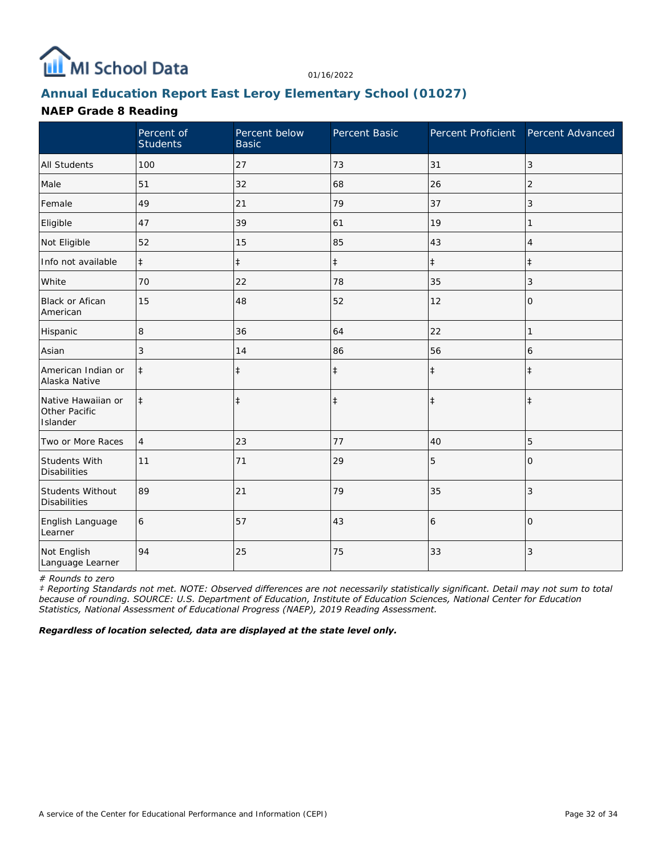

### **Annual Education Report East Leroy Elementary School (01027)**

#### **NAEP Grade 8 Reading**

|                                                 | Percent of<br><b>Students</b> | Percent below<br><b>Basic</b> | Percent Basic | Percent Proficient | Percent Advanced |
|-------------------------------------------------|-------------------------------|-------------------------------|---------------|--------------------|------------------|
| <b>All Students</b>                             | 100                           | 27                            | 73            | 31                 | 3                |
| Male                                            | 51                            | 32                            | 68            | 26                 | $\overline{2}$   |
| Female                                          | 49                            | 21                            | 79            | 37                 | 3                |
| Eligible                                        | 47                            | 39                            | 61            | 19                 |                  |
| Not Eligible                                    | 52                            | 15                            | 85            | 43                 | $\overline{4}$   |
| Info not available                              | $\ddagger$                    | $\ddagger$                    | $\ddagger$    | $\ddagger$         | $\ddagger$       |
| White                                           | 70                            | 22                            | 78            | 35                 | 3                |
| Black or Afican<br>American                     | 15                            | 48                            | 52            | 12                 | 0                |
| Hispanic                                        | 8                             | 36                            | 64            | 22                 | 1                |
| Asian                                           | 3                             | 14                            | 86            | 56                 | 6                |
| American Indian or<br>Alaska Native             | $\ddagger$                    | $\ddagger$                    | $\ddagger$    | $\ddagger$         | $\ddagger$       |
| Native Hawaiian or<br>Other Pacific<br>Islander | $\ddagger$                    | $\ddagger$                    | $\ddagger$    | $\ddagger$         | $\ddagger$       |
| Two or More Races                               | $\overline{4}$                | 23                            | 77            | 40                 | 5                |
| Students With<br><b>Disabilities</b>            | 11                            | 71                            | 29            | 5                  | $\Omega$         |
| Students Without<br><b>Disabilities</b>         | 89                            | 21                            | 79            | 35                 | 3                |
| English Language<br>Learner                     | 6                             | 57                            | 43            | 6                  | $\Omega$         |
| Not English<br>Language Learner                 | 94                            | 25                            | 75            | 33                 | 3                |

*# Rounds to zero*

*‡ Reporting Standards not met. NOTE: Observed differences are not necessarily statistically significant. Detail may not sum to total because of rounding. SOURCE: U.S. Department of Education, Institute of Education Sciences, National Center for Education Statistics, National Assessment of Educational Progress (NAEP), 2019 Reading Assessment.*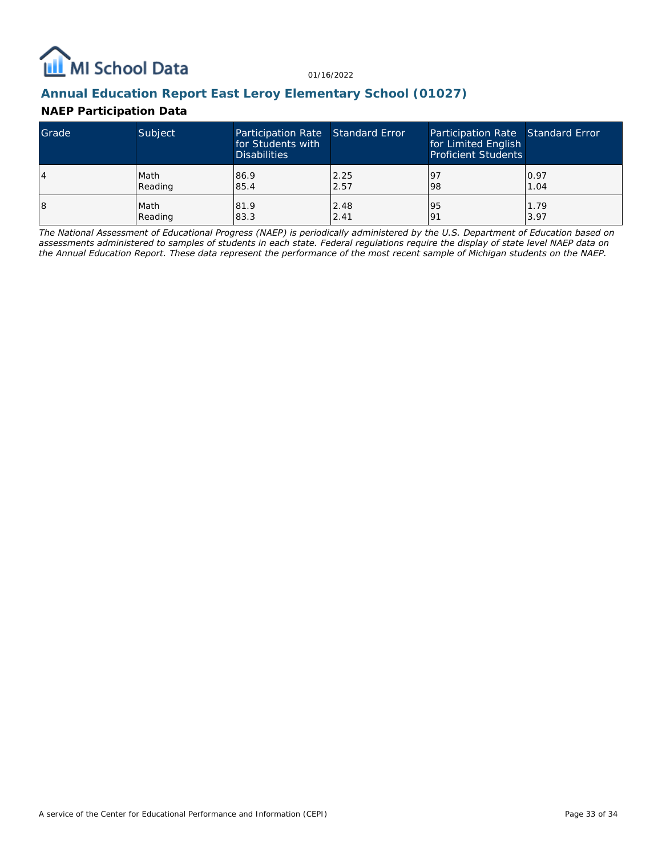

#### **Annual Education Report East Leroy Elementary School (01027)**

#### **NAEP Participation Data**

| Grade | Subject | Participation Rate Standard Error<br>for Students with<br><b>Disabilities</b> |      | Participation Rate Standard Error<br>for Limited English<br><b>Proficient Students</b> |      |
|-------|---------|-------------------------------------------------------------------------------|------|----------------------------------------------------------------------------------------|------|
| 4     | Math    | 86.9                                                                          | 2.25 | 19.                                                                                    | 0.97 |
|       | Reading | 85.4                                                                          | 2.57 | 98                                                                                     | 1.04 |
| 18    | Math    | 81.9                                                                          | 2.48 | 95                                                                                     | 1.79 |
|       | Reading | 83.3                                                                          | 2.41 | <u>o</u>                                                                               | 3.97 |

*The National Assessment of Educational Progress (NAEP) is periodically administered by the U.S. Department of Education based on assessments administered to samples of students in each state. Federal regulations require the display of state level NAEP data on the Annual Education Report. These data represent the performance of the most recent sample of Michigan students on the NAEP.*